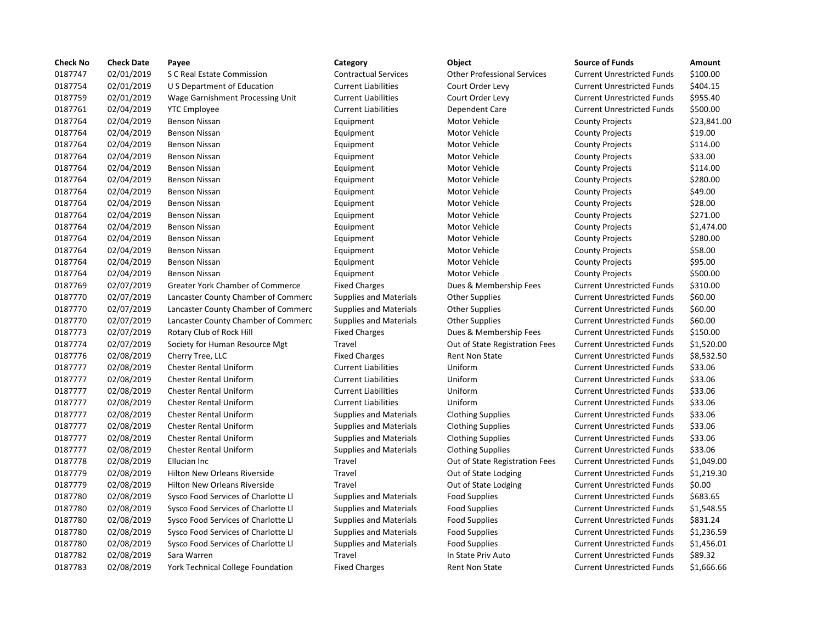| 0187747<br>\$100.00<br>02/01/2019<br><b>Contractual Services</b><br><b>Other Professional Services</b><br>S C Real Estate Commission<br><b>Current Unrestricted Funds</b><br>0187754<br>02/01/2019<br><b>Current Liabilities</b><br>Court Order Levy<br><b>Current Unrestricted Funds</b><br>\$404.15<br>U S Department of Education<br>0187759<br>02/01/2019<br><b>Current Liabilities</b><br>Court Order Levy<br><b>Current Unrestricted Funds</b><br>\$955.40<br>Wage Garnishment Processing Unit<br>0187761<br>02/04/2019<br>\$500.00<br><b>YTC Employee</b><br><b>Current Liabilities</b><br>Dependent Care<br><b>Current Unrestricted Funds</b><br>0187764<br>02/04/2019<br>Motor Vehicle<br>\$23,841.00<br><b>Benson Nissan</b><br>Equipment<br><b>County Projects</b><br>0187764<br>\$19.00<br>02/04/2019<br><b>Benson Nissan</b><br>Motor Vehicle<br>Equipment<br><b>County Projects</b><br>0187764<br>02/04/2019<br>Motor Vehicle<br>\$114.00<br><b>Benson Nissan</b><br>Equipment<br><b>County Projects</b><br>0187764<br>\$33.00<br>02/04/2019<br><b>Benson Nissan</b><br>Motor Vehicle<br><b>County Projects</b><br>Equipment<br>0187764<br>02/04/2019<br>Motor Vehicle<br>\$114.00<br><b>Benson Nissan</b><br>Equipment<br><b>County Projects</b><br>0187764<br>\$280.00<br>02/04/2019<br>Motor Vehicle<br><b>Benson Nissan</b><br>Equipment<br><b>County Projects</b><br>0187764<br>\$49.00<br>02/04/2019<br>Motor Vehicle<br><b>County Projects</b><br><b>Benson Nissan</b><br>Equipment<br>0187764<br>02/04/2019<br>Motor Vehicle<br>\$28.00<br><b>Benson Nissan</b><br>Equipment<br><b>County Projects</b><br>0187764<br>\$271.00<br>02/04/2019<br>Motor Vehicle<br><b>Benson Nissan</b><br>Equipment<br><b>County Projects</b><br>0187764<br>\$1,474.00<br>02/04/2019<br>Motor Vehicle<br><b>Benson Nissan</b><br>Equipment<br><b>County Projects</b><br>\$280.00<br>0187764<br>02/04/2019<br><b>Benson Nissan</b><br>Motor Vehicle<br>Equipment<br><b>County Projects</b><br>0187764<br>\$58.00<br>02/04/2019<br><b>Benson Nissan</b><br>Motor Vehicle<br>Equipment<br><b>County Projects</b><br>0187764<br>\$95.00<br>02/04/2019<br>Motor Vehicle<br><b>Benson Nissan</b><br>Equipment<br><b>County Projects</b><br>0187764<br>02/04/2019<br>\$500.00<br><b>Benson Nissan</b><br>Equipment<br>Motor Vehicle<br><b>County Projects</b><br>0187769<br>02/07/2019<br><b>Greater York Chamber of Commerce</b><br>\$310.00<br><b>Fixed Charges</b><br>Dues & Membership Fees<br><b>Current Unrestricted Funds</b><br>0187770<br>02/07/2019<br>\$60.00<br>Lancaster County Chamber of Commerc<br><b>Supplies and Materials</b><br>Other Supplies<br><b>Current Unrestricted Funds</b><br>0187770<br>02/07/2019<br>\$60.00<br>Lancaster County Chamber of Commerc<br><b>Supplies and Materials</b><br><b>Other Supplies</b><br><b>Current Unrestricted Funds</b><br>0187770<br>\$60.00<br>02/07/2019<br>Lancaster County Chamber of Commerc<br><b>Supplies and Materials</b><br><b>Other Supplies</b><br><b>Current Unrestricted Funds</b> |
|----------------------------------------------------------------------------------------------------------------------------------------------------------------------------------------------------------------------------------------------------------------------------------------------------------------------------------------------------------------------------------------------------------------------------------------------------------------------------------------------------------------------------------------------------------------------------------------------------------------------------------------------------------------------------------------------------------------------------------------------------------------------------------------------------------------------------------------------------------------------------------------------------------------------------------------------------------------------------------------------------------------------------------------------------------------------------------------------------------------------------------------------------------------------------------------------------------------------------------------------------------------------------------------------------------------------------------------------------------------------------------------------------------------------------------------------------------------------------------------------------------------------------------------------------------------------------------------------------------------------------------------------------------------------------------------------------------------------------------------------------------------------------------------------------------------------------------------------------------------------------------------------------------------------------------------------------------------------------------------------------------------------------------------------------------------------------------------------------------------------------------------------------------------------------------------------------------------------------------------------------------------------------------------------------------------------------------------------------------------------------------------------------------------------------------------------------------------------------------------------------------------------------------------------------------------------------------------------------------------------------------------------------------------------------------------------------------------------------------------------------------------------------------------------------------------------------------------------------------------------------------------------------------------------------------------------------------------------------------------------------------------------------------------------------------|
|                                                                                                                                                                                                                                                                                                                                                                                                                                                                                                                                                                                                                                                                                                                                                                                                                                                                                                                                                                                                                                                                                                                                                                                                                                                                                                                                                                                                                                                                                                                                                                                                                                                                                                                                                                                                                                                                                                                                                                                                                                                                                                                                                                                                                                                                                                                                                                                                                                                                                                                                                                                                                                                                                                                                                                                                                                                                                                                                                                                                                                                          |
|                                                                                                                                                                                                                                                                                                                                                                                                                                                                                                                                                                                                                                                                                                                                                                                                                                                                                                                                                                                                                                                                                                                                                                                                                                                                                                                                                                                                                                                                                                                                                                                                                                                                                                                                                                                                                                                                                                                                                                                                                                                                                                                                                                                                                                                                                                                                                                                                                                                                                                                                                                                                                                                                                                                                                                                                                                                                                                                                                                                                                                                          |
|                                                                                                                                                                                                                                                                                                                                                                                                                                                                                                                                                                                                                                                                                                                                                                                                                                                                                                                                                                                                                                                                                                                                                                                                                                                                                                                                                                                                                                                                                                                                                                                                                                                                                                                                                                                                                                                                                                                                                                                                                                                                                                                                                                                                                                                                                                                                                                                                                                                                                                                                                                                                                                                                                                                                                                                                                                                                                                                                                                                                                                                          |
|                                                                                                                                                                                                                                                                                                                                                                                                                                                                                                                                                                                                                                                                                                                                                                                                                                                                                                                                                                                                                                                                                                                                                                                                                                                                                                                                                                                                                                                                                                                                                                                                                                                                                                                                                                                                                                                                                                                                                                                                                                                                                                                                                                                                                                                                                                                                                                                                                                                                                                                                                                                                                                                                                                                                                                                                                                                                                                                                                                                                                                                          |
|                                                                                                                                                                                                                                                                                                                                                                                                                                                                                                                                                                                                                                                                                                                                                                                                                                                                                                                                                                                                                                                                                                                                                                                                                                                                                                                                                                                                                                                                                                                                                                                                                                                                                                                                                                                                                                                                                                                                                                                                                                                                                                                                                                                                                                                                                                                                                                                                                                                                                                                                                                                                                                                                                                                                                                                                                                                                                                                                                                                                                                                          |
|                                                                                                                                                                                                                                                                                                                                                                                                                                                                                                                                                                                                                                                                                                                                                                                                                                                                                                                                                                                                                                                                                                                                                                                                                                                                                                                                                                                                                                                                                                                                                                                                                                                                                                                                                                                                                                                                                                                                                                                                                                                                                                                                                                                                                                                                                                                                                                                                                                                                                                                                                                                                                                                                                                                                                                                                                                                                                                                                                                                                                                                          |
|                                                                                                                                                                                                                                                                                                                                                                                                                                                                                                                                                                                                                                                                                                                                                                                                                                                                                                                                                                                                                                                                                                                                                                                                                                                                                                                                                                                                                                                                                                                                                                                                                                                                                                                                                                                                                                                                                                                                                                                                                                                                                                                                                                                                                                                                                                                                                                                                                                                                                                                                                                                                                                                                                                                                                                                                                                                                                                                                                                                                                                                          |
|                                                                                                                                                                                                                                                                                                                                                                                                                                                                                                                                                                                                                                                                                                                                                                                                                                                                                                                                                                                                                                                                                                                                                                                                                                                                                                                                                                                                                                                                                                                                                                                                                                                                                                                                                                                                                                                                                                                                                                                                                                                                                                                                                                                                                                                                                                                                                                                                                                                                                                                                                                                                                                                                                                                                                                                                                                                                                                                                                                                                                                                          |
|                                                                                                                                                                                                                                                                                                                                                                                                                                                                                                                                                                                                                                                                                                                                                                                                                                                                                                                                                                                                                                                                                                                                                                                                                                                                                                                                                                                                                                                                                                                                                                                                                                                                                                                                                                                                                                                                                                                                                                                                                                                                                                                                                                                                                                                                                                                                                                                                                                                                                                                                                                                                                                                                                                                                                                                                                                                                                                                                                                                                                                                          |
|                                                                                                                                                                                                                                                                                                                                                                                                                                                                                                                                                                                                                                                                                                                                                                                                                                                                                                                                                                                                                                                                                                                                                                                                                                                                                                                                                                                                                                                                                                                                                                                                                                                                                                                                                                                                                                                                                                                                                                                                                                                                                                                                                                                                                                                                                                                                                                                                                                                                                                                                                                                                                                                                                                                                                                                                                                                                                                                                                                                                                                                          |
|                                                                                                                                                                                                                                                                                                                                                                                                                                                                                                                                                                                                                                                                                                                                                                                                                                                                                                                                                                                                                                                                                                                                                                                                                                                                                                                                                                                                                                                                                                                                                                                                                                                                                                                                                                                                                                                                                                                                                                                                                                                                                                                                                                                                                                                                                                                                                                                                                                                                                                                                                                                                                                                                                                                                                                                                                                                                                                                                                                                                                                                          |
|                                                                                                                                                                                                                                                                                                                                                                                                                                                                                                                                                                                                                                                                                                                                                                                                                                                                                                                                                                                                                                                                                                                                                                                                                                                                                                                                                                                                                                                                                                                                                                                                                                                                                                                                                                                                                                                                                                                                                                                                                                                                                                                                                                                                                                                                                                                                                                                                                                                                                                                                                                                                                                                                                                                                                                                                                                                                                                                                                                                                                                                          |
|                                                                                                                                                                                                                                                                                                                                                                                                                                                                                                                                                                                                                                                                                                                                                                                                                                                                                                                                                                                                                                                                                                                                                                                                                                                                                                                                                                                                                                                                                                                                                                                                                                                                                                                                                                                                                                                                                                                                                                                                                                                                                                                                                                                                                                                                                                                                                                                                                                                                                                                                                                                                                                                                                                                                                                                                                                                                                                                                                                                                                                                          |
|                                                                                                                                                                                                                                                                                                                                                                                                                                                                                                                                                                                                                                                                                                                                                                                                                                                                                                                                                                                                                                                                                                                                                                                                                                                                                                                                                                                                                                                                                                                                                                                                                                                                                                                                                                                                                                                                                                                                                                                                                                                                                                                                                                                                                                                                                                                                                                                                                                                                                                                                                                                                                                                                                                                                                                                                                                                                                                                                                                                                                                                          |
|                                                                                                                                                                                                                                                                                                                                                                                                                                                                                                                                                                                                                                                                                                                                                                                                                                                                                                                                                                                                                                                                                                                                                                                                                                                                                                                                                                                                                                                                                                                                                                                                                                                                                                                                                                                                                                                                                                                                                                                                                                                                                                                                                                                                                                                                                                                                                                                                                                                                                                                                                                                                                                                                                                                                                                                                                                                                                                                                                                                                                                                          |
|                                                                                                                                                                                                                                                                                                                                                                                                                                                                                                                                                                                                                                                                                                                                                                                                                                                                                                                                                                                                                                                                                                                                                                                                                                                                                                                                                                                                                                                                                                                                                                                                                                                                                                                                                                                                                                                                                                                                                                                                                                                                                                                                                                                                                                                                                                                                                                                                                                                                                                                                                                                                                                                                                                                                                                                                                                                                                                                                                                                                                                                          |
|                                                                                                                                                                                                                                                                                                                                                                                                                                                                                                                                                                                                                                                                                                                                                                                                                                                                                                                                                                                                                                                                                                                                                                                                                                                                                                                                                                                                                                                                                                                                                                                                                                                                                                                                                                                                                                                                                                                                                                                                                                                                                                                                                                                                                                                                                                                                                                                                                                                                                                                                                                                                                                                                                                                                                                                                                                                                                                                                                                                                                                                          |
|                                                                                                                                                                                                                                                                                                                                                                                                                                                                                                                                                                                                                                                                                                                                                                                                                                                                                                                                                                                                                                                                                                                                                                                                                                                                                                                                                                                                                                                                                                                                                                                                                                                                                                                                                                                                                                                                                                                                                                                                                                                                                                                                                                                                                                                                                                                                                                                                                                                                                                                                                                                                                                                                                                                                                                                                                                                                                                                                                                                                                                                          |
|                                                                                                                                                                                                                                                                                                                                                                                                                                                                                                                                                                                                                                                                                                                                                                                                                                                                                                                                                                                                                                                                                                                                                                                                                                                                                                                                                                                                                                                                                                                                                                                                                                                                                                                                                                                                                                                                                                                                                                                                                                                                                                                                                                                                                                                                                                                                                                                                                                                                                                                                                                                                                                                                                                                                                                                                                                                                                                                                                                                                                                                          |
|                                                                                                                                                                                                                                                                                                                                                                                                                                                                                                                                                                                                                                                                                                                                                                                                                                                                                                                                                                                                                                                                                                                                                                                                                                                                                                                                                                                                                                                                                                                                                                                                                                                                                                                                                                                                                                                                                                                                                                                                                                                                                                                                                                                                                                                                                                                                                                                                                                                                                                                                                                                                                                                                                                                                                                                                                                                                                                                                                                                                                                                          |
|                                                                                                                                                                                                                                                                                                                                                                                                                                                                                                                                                                                                                                                                                                                                                                                                                                                                                                                                                                                                                                                                                                                                                                                                                                                                                                                                                                                                                                                                                                                                                                                                                                                                                                                                                                                                                                                                                                                                                                                                                                                                                                                                                                                                                                                                                                                                                                                                                                                                                                                                                                                                                                                                                                                                                                                                                                                                                                                                                                                                                                                          |
|                                                                                                                                                                                                                                                                                                                                                                                                                                                                                                                                                                                                                                                                                                                                                                                                                                                                                                                                                                                                                                                                                                                                                                                                                                                                                                                                                                                                                                                                                                                                                                                                                                                                                                                                                                                                                                                                                                                                                                                                                                                                                                                                                                                                                                                                                                                                                                                                                                                                                                                                                                                                                                                                                                                                                                                                                                                                                                                                                                                                                                                          |
| 0187773<br>02/07/2019<br>\$150.00<br>Rotary Club of Rock Hill<br><b>Fixed Charges</b><br>Dues & Membership Fees<br><b>Current Unrestricted Funds</b>                                                                                                                                                                                                                                                                                                                                                                                                                                                                                                                                                                                                                                                                                                                                                                                                                                                                                                                                                                                                                                                                                                                                                                                                                                                                                                                                                                                                                                                                                                                                                                                                                                                                                                                                                                                                                                                                                                                                                                                                                                                                                                                                                                                                                                                                                                                                                                                                                                                                                                                                                                                                                                                                                                                                                                                                                                                                                                     |
| 0187774<br>02/07/2019<br>\$1,520.00<br>Society for Human Resource Mgt<br>Travel<br>Out of State Registration Fees<br><b>Current Unrestricted Funds</b>                                                                                                                                                                                                                                                                                                                                                                                                                                                                                                                                                                                                                                                                                                                                                                                                                                                                                                                                                                                                                                                                                                                                                                                                                                                                                                                                                                                                                                                                                                                                                                                                                                                                                                                                                                                                                                                                                                                                                                                                                                                                                                                                                                                                                                                                                                                                                                                                                                                                                                                                                                                                                                                                                                                                                                                                                                                                                                   |
| 0187776<br>\$8,532.50<br>02/08/2019<br>Cherry Tree, LLC<br><b>Fixed Charges</b><br>Rent Non State<br><b>Current Unrestricted Funds</b>                                                                                                                                                                                                                                                                                                                                                                                                                                                                                                                                                                                                                                                                                                                                                                                                                                                                                                                                                                                                                                                                                                                                                                                                                                                                                                                                                                                                                                                                                                                                                                                                                                                                                                                                                                                                                                                                                                                                                                                                                                                                                                                                                                                                                                                                                                                                                                                                                                                                                                                                                                                                                                                                                                                                                                                                                                                                                                                   |
| 0187777<br>02/08/2019<br>Uniform<br>\$33.06<br>Chester Rental Uniform<br><b>Current Liabilities</b><br><b>Current Unrestricted Funds</b>                                                                                                                                                                                                                                                                                                                                                                                                                                                                                                                                                                                                                                                                                                                                                                                                                                                                                                                                                                                                                                                                                                                                                                                                                                                                                                                                                                                                                                                                                                                                                                                                                                                                                                                                                                                                                                                                                                                                                                                                                                                                                                                                                                                                                                                                                                                                                                                                                                                                                                                                                                                                                                                                                                                                                                                                                                                                                                                 |
| 0187777<br>02/08/2019<br><b>Current Liabilities</b><br>Uniform<br>\$33.06<br><b>Chester Rental Uniform</b><br><b>Current Unrestricted Funds</b>                                                                                                                                                                                                                                                                                                                                                                                                                                                                                                                                                                                                                                                                                                                                                                                                                                                                                                                                                                                                                                                                                                                                                                                                                                                                                                                                                                                                                                                                                                                                                                                                                                                                                                                                                                                                                                                                                                                                                                                                                                                                                                                                                                                                                                                                                                                                                                                                                                                                                                                                                                                                                                                                                                                                                                                                                                                                                                          |
| 0187777<br>02/08/2019<br>Uniform<br>\$33.06<br><b>Chester Rental Uniform</b><br><b>Current Liabilities</b><br><b>Current Unrestricted Funds</b>                                                                                                                                                                                                                                                                                                                                                                                                                                                                                                                                                                                                                                                                                                                                                                                                                                                                                                                                                                                                                                                                                                                                                                                                                                                                                                                                                                                                                                                                                                                                                                                                                                                                                                                                                                                                                                                                                                                                                                                                                                                                                                                                                                                                                                                                                                                                                                                                                                                                                                                                                                                                                                                                                                                                                                                                                                                                                                          |
| 0187777<br>02/08/2019<br><b>Chester Rental Uniform</b><br><b>Current Liabilities</b><br>Uniform<br>\$33.06<br><b>Current Unrestricted Funds</b>                                                                                                                                                                                                                                                                                                                                                                                                                                                                                                                                                                                                                                                                                                                                                                                                                                                                                                                                                                                                                                                                                                                                                                                                                                                                                                                                                                                                                                                                                                                                                                                                                                                                                                                                                                                                                                                                                                                                                                                                                                                                                                                                                                                                                                                                                                                                                                                                                                                                                                                                                                                                                                                                                                                                                                                                                                                                                                          |
| 0187777<br>\$33.06<br>02/08/2019<br><b>Chester Rental Uniform</b><br><b>Supplies and Materials</b><br><b>Clothing Supplies</b><br><b>Current Unrestricted Funds</b>                                                                                                                                                                                                                                                                                                                                                                                                                                                                                                                                                                                                                                                                                                                                                                                                                                                                                                                                                                                                                                                                                                                                                                                                                                                                                                                                                                                                                                                                                                                                                                                                                                                                                                                                                                                                                                                                                                                                                                                                                                                                                                                                                                                                                                                                                                                                                                                                                                                                                                                                                                                                                                                                                                                                                                                                                                                                                      |
| 0187777<br>02/08/2019<br><b>Chester Rental Uniform</b><br>\$33.06<br><b>Supplies and Materials</b><br><b>Clothing Supplies</b><br><b>Current Unrestricted Funds</b>                                                                                                                                                                                                                                                                                                                                                                                                                                                                                                                                                                                                                                                                                                                                                                                                                                                                                                                                                                                                                                                                                                                                                                                                                                                                                                                                                                                                                                                                                                                                                                                                                                                                                                                                                                                                                                                                                                                                                                                                                                                                                                                                                                                                                                                                                                                                                                                                                                                                                                                                                                                                                                                                                                                                                                                                                                                                                      |
| 0187777<br>02/08/2019<br><b>Chester Rental Uniform</b><br>\$33.06<br><b>Supplies and Materials</b><br><b>Clothing Supplies</b><br><b>Current Unrestricted Funds</b>                                                                                                                                                                                                                                                                                                                                                                                                                                                                                                                                                                                                                                                                                                                                                                                                                                                                                                                                                                                                                                                                                                                                                                                                                                                                                                                                                                                                                                                                                                                                                                                                                                                                                                                                                                                                                                                                                                                                                                                                                                                                                                                                                                                                                                                                                                                                                                                                                                                                                                                                                                                                                                                                                                                                                                                                                                                                                      |
| 0187777<br>02/08/2019<br><b>Chester Rental Uniform</b><br>\$33.06<br><b>Supplies and Materials</b><br><b>Clothing Supplies</b><br><b>Current Unrestricted Funds</b>                                                                                                                                                                                                                                                                                                                                                                                                                                                                                                                                                                                                                                                                                                                                                                                                                                                                                                                                                                                                                                                                                                                                                                                                                                                                                                                                                                                                                                                                                                                                                                                                                                                                                                                                                                                                                                                                                                                                                                                                                                                                                                                                                                                                                                                                                                                                                                                                                                                                                                                                                                                                                                                                                                                                                                                                                                                                                      |
| 0187778<br>02/08/2019<br>\$1,049.00<br>Ellucian Inc<br>Travel<br>Out of State Registration Fees<br><b>Current Unrestricted Funds</b>                                                                                                                                                                                                                                                                                                                                                                                                                                                                                                                                                                                                                                                                                                                                                                                                                                                                                                                                                                                                                                                                                                                                                                                                                                                                                                                                                                                                                                                                                                                                                                                                                                                                                                                                                                                                                                                                                                                                                                                                                                                                                                                                                                                                                                                                                                                                                                                                                                                                                                                                                                                                                                                                                                                                                                                                                                                                                                                     |
| 0187779<br>02/08/2019<br>\$1,219.30<br><b>Hilton New Orleans Riverside</b><br>Travel<br>Out of State Lodging<br><b>Current Unrestricted Funds</b>                                                                                                                                                                                                                                                                                                                                                                                                                                                                                                                                                                                                                                                                                                                                                                                                                                                                                                                                                                                                                                                                                                                                                                                                                                                                                                                                                                                                                                                                                                                                                                                                                                                                                                                                                                                                                                                                                                                                                                                                                                                                                                                                                                                                                                                                                                                                                                                                                                                                                                                                                                                                                                                                                                                                                                                                                                                                                                        |
| 0187779<br>02/08/2019<br><b>Hilton New Orleans Riverside</b><br>Out of State Lodging<br>\$0.00<br>Travel<br><b>Current Unrestricted Funds</b>                                                                                                                                                                                                                                                                                                                                                                                                                                                                                                                                                                                                                                                                                                                                                                                                                                                                                                                                                                                                                                                                                                                                                                                                                                                                                                                                                                                                                                                                                                                                                                                                                                                                                                                                                                                                                                                                                                                                                                                                                                                                                                                                                                                                                                                                                                                                                                                                                                                                                                                                                                                                                                                                                                                                                                                                                                                                                                            |
| 0187780<br>02/08/2019<br><b>Food Supplies</b><br>\$683.65<br>Sysco Food Services of Charlotte Ll<br><b>Supplies and Materials</b><br><b>Current Unrestricted Funds</b>                                                                                                                                                                                                                                                                                                                                                                                                                                                                                                                                                                                                                                                                                                                                                                                                                                                                                                                                                                                                                                                                                                                                                                                                                                                                                                                                                                                                                                                                                                                                                                                                                                                                                                                                                                                                                                                                                                                                                                                                                                                                                                                                                                                                                                                                                                                                                                                                                                                                                                                                                                                                                                                                                                                                                                                                                                                                                   |
| 0187780<br>\$1,548.55<br>02/08/2019<br>Sysco Food Services of Charlotte Ll<br><b>Supplies and Materials</b><br><b>Food Supplies</b><br><b>Current Unrestricted Funds</b>                                                                                                                                                                                                                                                                                                                                                                                                                                                                                                                                                                                                                                                                                                                                                                                                                                                                                                                                                                                                                                                                                                                                                                                                                                                                                                                                                                                                                                                                                                                                                                                                                                                                                                                                                                                                                                                                                                                                                                                                                                                                                                                                                                                                                                                                                                                                                                                                                                                                                                                                                                                                                                                                                                                                                                                                                                                                                 |
| \$831.24<br>0187780<br>02/08/2019<br><b>Food Supplies</b><br>Sysco Food Services of Charlotte Ll<br><b>Supplies and Materials</b><br><b>Current Unrestricted Funds</b>                                                                                                                                                                                                                                                                                                                                                                                                                                                                                                                                                                                                                                                                                                                                                                                                                                                                                                                                                                                                                                                                                                                                                                                                                                                                                                                                                                                                                                                                                                                                                                                                                                                                                                                                                                                                                                                                                                                                                                                                                                                                                                                                                                                                                                                                                                                                                                                                                                                                                                                                                                                                                                                                                                                                                                                                                                                                                   |
| 0187780<br>02/08/2019<br>Sysco Food Services of Charlotte Ll<br><b>Food Supplies</b><br>\$1,236.59<br><b>Supplies and Materials</b><br><b>Current Unrestricted Funds</b>                                                                                                                                                                                                                                                                                                                                                                                                                                                                                                                                                                                                                                                                                                                                                                                                                                                                                                                                                                                                                                                                                                                                                                                                                                                                                                                                                                                                                                                                                                                                                                                                                                                                                                                                                                                                                                                                                                                                                                                                                                                                                                                                                                                                                                                                                                                                                                                                                                                                                                                                                                                                                                                                                                                                                                                                                                                                                 |
| 0187780<br>02/08/2019<br>Sysco Food Services of Charlotte Ll<br><b>Supplies and Materials</b><br><b>Food Supplies</b><br><b>Current Unrestricted Funds</b><br>\$1,456.01                                                                                                                                                                                                                                                                                                                                                                                                                                                                                                                                                                                                                                                                                                                                                                                                                                                                                                                                                                                                                                                                                                                                                                                                                                                                                                                                                                                                                                                                                                                                                                                                                                                                                                                                                                                                                                                                                                                                                                                                                                                                                                                                                                                                                                                                                                                                                                                                                                                                                                                                                                                                                                                                                                                                                                                                                                                                                 |
| 0187782<br>02/08/2019<br>Sara Warren<br>Travel<br>In State Priv Auto<br><b>Current Unrestricted Funds</b><br>\$89.32                                                                                                                                                                                                                                                                                                                                                                                                                                                                                                                                                                                                                                                                                                                                                                                                                                                                                                                                                                                                                                                                                                                                                                                                                                                                                                                                                                                                                                                                                                                                                                                                                                                                                                                                                                                                                                                                                                                                                                                                                                                                                                                                                                                                                                                                                                                                                                                                                                                                                                                                                                                                                                                                                                                                                                                                                                                                                                                                     |
| 0187783<br>02/08/2019<br><b>York Technical College Foundation</b><br>\$1,666.66<br><b>Fixed Charges</b><br><b>Rent Non State</b><br><b>Current Unrestricted Funds</b>                                                                                                                                                                                                                                                                                                                                                                                                                                                                                                                                                                                                                                                                                                                                                                                                                                                                                                                                                                                                                                                                                                                                                                                                                                                                                                                                                                                                                                                                                                                                                                                                                                                                                                                                                                                                                                                                                                                                                                                                                                                                                                                                                                                                                                                                                                                                                                                                                                                                                                                                                                                                                                                                                                                                                                                                                                                                                    |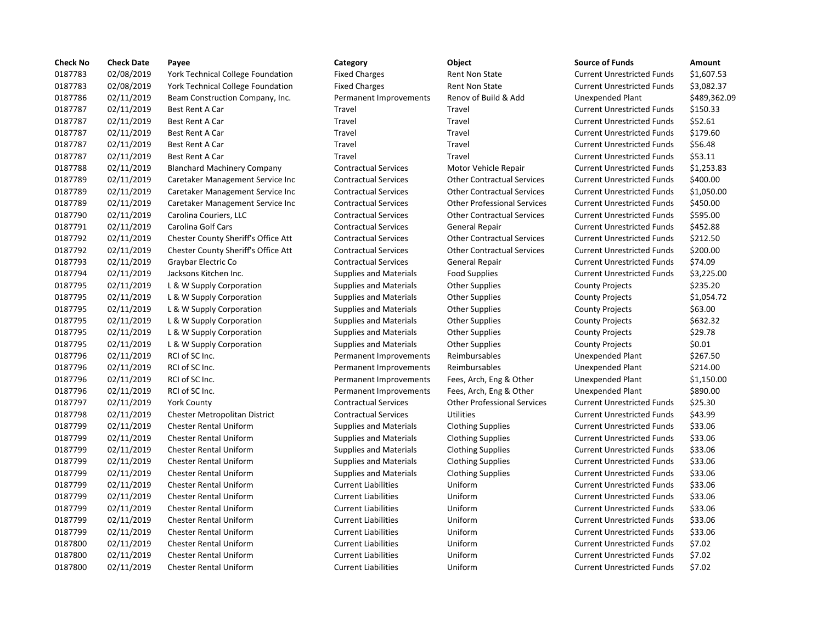| <b>Check No</b> | <b>Check Date</b> | Payee                                    | Category                      | Object                             | <b>Source of Funds</b>            | Amount    |
|-----------------|-------------------|------------------------------------------|-------------------------------|------------------------------------|-----------------------------------|-----------|
| 0187783         | 02/08/2019        | <b>York Technical College Foundation</b> | <b>Fixed Charges</b>          | Rent Non State                     | <b>Current Unrestricted Funds</b> | \$1,607.5 |
| 0187783         | 02/08/2019        | York Technical College Foundation        | <b>Fixed Charges</b>          | Rent Non State                     | <b>Current Unrestricted Funds</b> | \$3,082.3 |
| 0187786         | 02/11/2019        | Beam Construction Company, Inc.          | Permanent Improvements        | Renov of Build & Add               | <b>Unexpended Plant</b>           | \$489,36  |
| 0187787         | 02/11/2019        | <b>Best Rent A Car</b>                   | Travel                        | Travel                             | <b>Current Unrestricted Funds</b> | \$150.33  |
| 0187787         | 02/11/2019        | <b>Best Rent A Car</b>                   | Travel                        | Travel                             | <b>Current Unrestricted Funds</b> | \$52.61   |
| 0187787         | 02/11/2019        | Best Rent A Car                          | Travel                        | Travel                             | <b>Current Unrestricted Funds</b> | \$179.60  |
| 0187787         | 02/11/2019        | Best Rent A Car                          | Travel                        | Travel                             | <b>Current Unrestricted Funds</b> | \$56.48   |
| 0187787         | 02/11/2019        | Best Rent A Car                          | Travel                        | Travel                             | <b>Current Unrestricted Funds</b> | \$53.11   |
| 0187788         | 02/11/2019        | <b>Blanchard Machinery Company</b>       | <b>Contractual Services</b>   | Motor Vehicle Repair               | <b>Current Unrestricted Funds</b> | \$1,253.8 |
| 0187789         | 02/11/2019        | Caretaker Management Service Inc         | <b>Contractual Services</b>   | <b>Other Contractual Services</b>  | <b>Current Unrestricted Funds</b> | \$400.00  |
| 0187789         | 02/11/2019        | Caretaker Management Service Inc         | <b>Contractual Services</b>   | <b>Other Contractual Services</b>  | <b>Current Unrestricted Funds</b> | \$1,050.0 |
| 0187789         | 02/11/2019        | Caretaker Management Service Inc         | <b>Contractual Services</b>   | <b>Other Professional Services</b> | <b>Current Unrestricted Funds</b> | \$450.00  |
| 0187790         | 02/11/2019        | Carolina Couriers, LLC                   | <b>Contractual Services</b>   | <b>Other Contractual Services</b>  | <b>Current Unrestricted Funds</b> | \$595.00  |
| 0187791         | 02/11/2019        | Carolina Golf Cars                       | <b>Contractual Services</b>   | General Repair                     | <b>Current Unrestricted Funds</b> | \$452.88  |
| 0187792         | 02/11/2019        | Chester County Sheriff's Office Att      | <b>Contractual Services</b>   | <b>Other Contractual Services</b>  | <b>Current Unrestricted Funds</b> | \$212.50  |
| 0187792         | 02/11/2019        | Chester County Sheriff's Office Att      | <b>Contractual Services</b>   | <b>Other Contractual Services</b>  | <b>Current Unrestricted Funds</b> | \$200.00  |
| 0187793         | 02/11/2019        | Graybar Electric Co                      | <b>Contractual Services</b>   | General Repair                     | <b>Current Unrestricted Funds</b> | \$74.09   |
| 0187794         | 02/11/2019        | Jacksons Kitchen Inc.                    | <b>Supplies and Materials</b> | <b>Food Supplies</b>               | <b>Current Unrestricted Funds</b> | \$3,225.0 |
| 0187795         | 02/11/2019        | L & W Supply Corporation                 | <b>Supplies and Materials</b> | <b>Other Supplies</b>              | <b>County Projects</b>            | \$235.20  |
| 0187795         | 02/11/2019        | L & W Supply Corporation                 | <b>Supplies and Materials</b> | <b>Other Supplies</b>              | <b>County Projects</b>            | \$1,054.7 |
| 0187795         | 02/11/2019        | L & W Supply Corporation                 | <b>Supplies and Materials</b> | <b>Other Supplies</b>              | <b>County Projects</b>            | \$63.00   |
| 0187795         | 02/11/2019        | L & W Supply Corporation                 | <b>Supplies and Materials</b> | <b>Other Supplies</b>              | <b>County Projects</b>            | \$632.32  |
| 0187795         | 02/11/2019        | L & W Supply Corporation                 | <b>Supplies and Materials</b> | <b>Other Supplies</b>              | <b>County Projects</b>            | \$29.78   |
| 0187795         | 02/11/2019        | L & W Supply Corporation                 | <b>Supplies and Materials</b> | <b>Other Supplies</b>              | <b>County Projects</b>            | \$0.01    |
| 0187796         | 02/11/2019        | RCI of SC Inc.                           | Permanent Improvements        | Reimbursables                      | <b>Unexpended Plant</b>           | \$267.50  |
| 0187796         | 02/11/2019        | RCI of SC Inc.                           | Permanent Improvements        | Reimbursables                      | <b>Unexpended Plant</b>           | \$214.00  |
| 0187796         | 02/11/2019        | RCI of SC Inc.                           | Permanent Improvements        | Fees, Arch, Eng & Other            | Unexpended Plant                  | \$1,150.0 |
| 0187796         | 02/11/2019        | RCI of SC Inc.                           | Permanent Improvements        | Fees, Arch, Eng & Other            | Unexpended Plant                  | \$890.00  |
| 0187797         | 02/11/2019        | <b>York County</b>                       | <b>Contractual Services</b>   | <b>Other Professional Services</b> | <b>Current Unrestricted Funds</b> | \$25.30   |
| 0187798         | 02/11/2019        | <b>Chester Metropolitan District</b>     | <b>Contractual Services</b>   | Utilities                          | <b>Current Unrestricted Funds</b> | \$43.99   |
| 0187799         | 02/11/2019        | <b>Chester Rental Uniform</b>            | <b>Supplies and Materials</b> | <b>Clothing Supplies</b>           | <b>Current Unrestricted Funds</b> | \$33.06   |
| 0187799         | 02/11/2019        | <b>Chester Rental Uniform</b>            | <b>Supplies and Materials</b> | <b>Clothing Supplies</b>           | <b>Current Unrestricted Funds</b> | \$33.06   |
| 0187799         | 02/11/2019        | <b>Chester Rental Uniform</b>            | <b>Supplies and Materials</b> | <b>Clothing Supplies</b>           | <b>Current Unrestricted Funds</b> | \$33.06   |
| 0187799         | 02/11/2019        | <b>Chester Rental Uniform</b>            | <b>Supplies and Materials</b> | <b>Clothing Supplies</b>           | <b>Current Unrestricted Funds</b> | \$33.06   |
| 0187799         | 02/11/2019        | <b>Chester Rental Uniform</b>            | <b>Supplies and Materials</b> | <b>Clothing Supplies</b>           | <b>Current Unrestricted Funds</b> | \$33.06   |
| 0187799         | 02/11/2019        | <b>Chester Rental Uniform</b>            | <b>Current Liabilities</b>    | Uniform                            | <b>Current Unrestricted Funds</b> | \$33.06   |
| 0187799         | 02/11/2019        | <b>Chester Rental Uniform</b>            | <b>Current Liabilities</b>    | Uniform                            | <b>Current Unrestricted Funds</b> | \$33.06   |
| 0187799         | 02/11/2019        | <b>Chester Rental Uniform</b>            | <b>Current Liabilities</b>    | Uniform                            | <b>Current Unrestricted Funds</b> | \$33.06   |
| 0187799         | 02/11/2019        | Chester Rental Uniform                   | <b>Current Liabilities</b>    | Uniform                            | <b>Current Unrestricted Funds</b> | \$33.06   |
| 0187799         | 02/11/2019        | <b>Chester Rental Uniform</b>            | <b>Current Liabilities</b>    | Uniform                            | <b>Current Unrestricted Funds</b> | \$33.06   |
| 0187800         | 02/11/2019        | <b>Chester Rental Uniform</b>            | <b>Current Liabilities</b>    | Uniform                            | <b>Current Unrestricted Funds</b> | \$7.02    |
| 0187800         | 02/11/2019        | <b>Chester Rental Uniform</b>            | <b>Current Liabilities</b>    | Uniform                            | <b>Current Unrestricted Funds</b> | \$7.02    |
| 0187800         | 02/11/2019        | <b>Chester Rental Uniform</b>            | <b>Current Liabilities</b>    | Uniform                            | <b>Current Unrestricted Funds</b> | \$7.02    |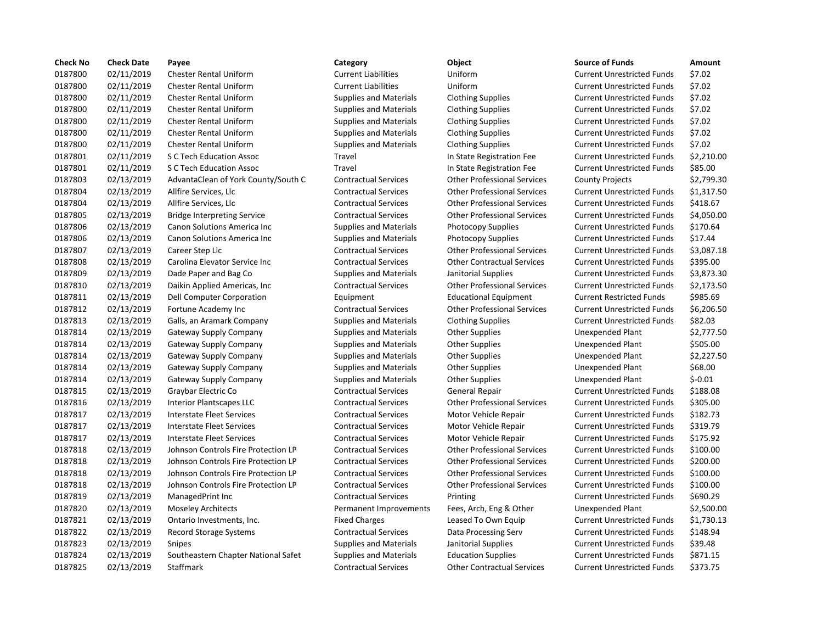| <b>Check No</b> | <b>Check Date</b> | Payee                               | Category                      | Object                             | <b>Source of Funds</b>            | Amount    |
|-----------------|-------------------|-------------------------------------|-------------------------------|------------------------------------|-----------------------------------|-----------|
| 0187800         | 02/11/2019        | Chester Rental Uniform              | <b>Current Liabilities</b>    | Uniform                            | <b>Current Unrestricted Funds</b> | \$7.02    |
| 0187800         | 02/11/2019        | <b>Chester Rental Uniform</b>       | <b>Current Liabilities</b>    | Uniform                            | <b>Current Unrestricted Funds</b> | \$7.02    |
| 0187800         | 02/11/2019        | <b>Chester Rental Uniform</b>       | <b>Supplies and Materials</b> | <b>Clothing Supplies</b>           | <b>Current Unrestricted Funds</b> | \$7.02    |
| 0187800         | 02/11/2019        | <b>Chester Rental Uniform</b>       | <b>Supplies and Materials</b> | <b>Clothing Supplies</b>           | <b>Current Unrestricted Funds</b> | \$7.02    |
| 0187800         | 02/11/2019        | <b>Chester Rental Uniform</b>       | <b>Supplies and Materials</b> | <b>Clothing Supplies</b>           | <b>Current Unrestricted Funds</b> | \$7.02    |
| 0187800         | 02/11/2019        | <b>Chester Rental Uniform</b>       | <b>Supplies and Materials</b> | <b>Clothing Supplies</b>           | <b>Current Unrestricted Funds</b> | \$7.02    |
| 0187800         | 02/11/2019        | <b>Chester Rental Uniform</b>       | <b>Supplies and Materials</b> | <b>Clothing Supplies</b>           | <b>Current Unrestricted Funds</b> | \$7.02    |
| 0187801         | 02/11/2019        | S C Tech Education Assoc            | Travel                        | In State Registration Fee          | <b>Current Unrestricted Funds</b> | \$2,210.0 |
| 0187801         | 02/11/2019        | S C Tech Education Assoc            | Travel                        | In State Registration Fee          | <b>Current Unrestricted Funds</b> | \$85.00   |
| 0187803         | 02/13/2019        | AdvantaClean of York County/South C | <b>Contractual Services</b>   | <b>Other Professional Services</b> | <b>County Projects</b>            | \$2,799.3 |
| 0187804         | 02/13/2019        | Allfire Services, Llc               | <b>Contractual Services</b>   | <b>Other Professional Services</b> | <b>Current Unrestricted Funds</b> | \$1,317.5 |
| 0187804         | 02/13/2019        | Allfire Services, Llc               | <b>Contractual Services</b>   | <b>Other Professional Services</b> | <b>Current Unrestricted Funds</b> | \$418.67  |
| 0187805         | 02/13/2019        | <b>Bridge Interpreting Service</b>  | <b>Contractual Services</b>   | <b>Other Professional Services</b> | <b>Current Unrestricted Funds</b> | \$4,050.0 |
| 0187806         | 02/13/2019        | Canon Solutions America Inc         | <b>Supplies and Materials</b> | Photocopy Supplies                 | <b>Current Unrestricted Funds</b> | \$170.64  |
| 0187806         | 02/13/2019        | <b>Canon Solutions America Inc.</b> | <b>Supplies and Materials</b> | Photocopy Supplies                 | <b>Current Unrestricted Funds</b> | \$17.44   |
| 0187807         | 02/13/2019        | Career Step Llc                     | <b>Contractual Services</b>   | <b>Other Professional Services</b> | <b>Current Unrestricted Funds</b> | \$3,087.1 |
| 0187808         | 02/13/2019        | Carolina Elevator Service Inc       | <b>Contractual Services</b>   | <b>Other Contractual Services</b>  | <b>Current Unrestricted Funds</b> | \$395.00  |
| 0187809         | 02/13/2019        | Dade Paper and Bag Co               | <b>Supplies and Materials</b> | Janitorial Supplies                | <b>Current Unrestricted Funds</b> | \$3,873.3 |
| 0187810         | 02/13/2019        | Daikin Applied Americas, Inc        | <b>Contractual Services</b>   | <b>Other Professional Services</b> | <b>Current Unrestricted Funds</b> | \$2,173.9 |
| 0187811         | 02/13/2019        | Dell Computer Corporation           | Equipment                     | <b>Educational Equipment</b>       | <b>Current Restricted Funds</b>   | \$985.69  |
| 0187812         | 02/13/2019        | Fortune Academy Inc                 | <b>Contractual Services</b>   | <b>Other Professional Services</b> | <b>Current Unrestricted Funds</b> | \$6,206.  |
| 0187813         | 02/13/2019        | Galls, an Aramark Company           | <b>Supplies and Materials</b> | <b>Clothing Supplies</b>           | <b>Current Unrestricted Funds</b> | \$82.03   |
| 0187814         | 02/13/2019        | Gateway Supply Company              | <b>Supplies and Materials</b> | <b>Other Supplies</b>              | <b>Unexpended Plant</b>           | \$2,777.5 |
| 0187814         | 02/13/2019        | Gateway Supply Company              | <b>Supplies and Materials</b> | <b>Other Supplies</b>              | Unexpended Plant                  | \$505.00  |
| 0187814         | 02/13/2019        | Gateway Supply Company              | <b>Supplies and Materials</b> | <b>Other Supplies</b>              | Unexpended Plant                  | \$2,227.5 |
| 0187814         | 02/13/2019        | Gateway Supply Company              | <b>Supplies and Materials</b> | <b>Other Supplies</b>              | <b>Unexpended Plant</b>           | \$68.00   |
| 0187814         | 02/13/2019        | Gateway Supply Company              | <b>Supplies and Materials</b> | <b>Other Supplies</b>              | <b>Unexpended Plant</b>           | $$-0.01$  |
| 0187815         | 02/13/2019        | Graybar Electric Co                 | <b>Contractual Services</b>   | General Repair                     | <b>Current Unrestricted Funds</b> | \$188.08  |
| 0187816         | 02/13/2019        | <b>Interior Plantscapes LLC</b>     | <b>Contractual Services</b>   | <b>Other Professional Services</b> | <b>Current Unrestricted Funds</b> | \$305.00  |
| 0187817         | 02/13/2019        | <b>Interstate Fleet Services</b>    | <b>Contractual Services</b>   | Motor Vehicle Repair               | <b>Current Unrestricted Funds</b> | \$182.73  |
| 0187817         | 02/13/2019        | <b>Interstate Fleet Services</b>    | <b>Contractual Services</b>   | Motor Vehicle Repair               | <b>Current Unrestricted Funds</b> | \$319.79  |
| 0187817         | 02/13/2019        | <b>Interstate Fleet Services</b>    | <b>Contractual Services</b>   | Motor Vehicle Repair               | <b>Current Unrestricted Funds</b> | \$175.92  |
| 0187818         | 02/13/2019        | Johnson Controls Fire Protection LP | <b>Contractual Services</b>   | <b>Other Professional Services</b> | <b>Current Unrestricted Funds</b> | \$100.00  |
| 0187818         | 02/13/2019        | Johnson Controls Fire Protection LP | <b>Contractual Services</b>   | <b>Other Professional Services</b> | <b>Current Unrestricted Funds</b> | \$200.00  |
| 0187818         | 02/13/2019        | Johnson Controls Fire Protection LP | <b>Contractual Services</b>   | <b>Other Professional Services</b> | <b>Current Unrestricted Funds</b> | \$100.00  |
| 0187818         | 02/13/2019        | Johnson Controls Fire Protection LP | <b>Contractual Services</b>   | <b>Other Professional Services</b> | <b>Current Unrestricted Funds</b> | \$100.00  |
| 0187819         | 02/13/2019        | ManagedPrint Inc                    | <b>Contractual Services</b>   | Printing                           | <b>Current Unrestricted Funds</b> | \$690.29  |
| 0187820         | 02/13/2019        | <b>Moseley Architects</b>           | Permanent Improvements        | Fees, Arch, Eng & Other            | Unexpended Plant                  | \$2,500.0 |
| 0187821         | 02/13/2019        | Ontario Investments, Inc.           | <b>Fixed Charges</b>          | Leased To Own Equip                | <b>Current Unrestricted Funds</b> | \$1,730.1 |
| 0187822         | 02/13/2019        | Record Storage Systems              | <b>Contractual Services</b>   | Data Processing Serv               | <b>Current Unrestricted Funds</b> | \$148.94  |
| 0187823         | 02/13/2019        | Snipes                              | <b>Supplies and Materials</b> | Janitorial Supplies                | <b>Current Unrestricted Funds</b> | \$39.48   |
| 0187824         | 02/13/2019        | Southeastern Chapter National Safet | <b>Supplies and Materials</b> | <b>Education Supplies</b>          | <b>Current Unrestricted Funds</b> | \$871.15  |
| 0187825         | 02/13/2019        | Staffmark                           | <b>Contractual Services</b>   | <b>Other Contractual Services</b>  | <b>Current Unrestricted Funds</b> | \$373.75  |

# 0187800 02/11/2019 Chester Rental Uniform Current Liabilities Uniform Current Unrestricted Funds \$7.02

# 0187800 02/11/2019 Chester Rental Uniform Current Liabilities Uniform Current Unrestricted Funds \$7.02 Supplies and Materials Clothing Supplies Current Unrestricted Funds \$7.02 0187800 02/11/2019 Chester Rental Uniform Supplies and Materials Clothing Supplies Current Unrestricted Funds \$7.02 0187800 02/11/2019 Chester Rental Uniform Supplies and Materials Clothing Supplies Current Unrestricted Funds \$7.02 0187800 02/11/2019 Chester Rental Uniform Supplies and Materials Clothing Supplies Current Unrestricted Funds \$7.02 Supplies and Materials Clothing Supplies Current Unrestricted Funds \$7.02 Travel **1201 1201 In State Registration Fee** Current Unrestricted Funds \$2,210.00 Travel **1201 1201 In State Registration Fee** Current Unrestricted Funds \$85.00 n C Contractual Services Cother Professional Services County Projects \$2,799.30 0187804 02/13/2019 Allfire Services, Llc Contractual Services Other Professional Services Current Unrestricted Funds \$1,317.50 0187804 02/13/2019 Allfire Services, Llc Contractual Services Other Professional Services Current Unrestricted Funds \$418.67 0187805 02/13/2019 Bridge Interpreting Service Contractual Services Other Professional Services Current Unrestricted Funds \$4,050.00 0187806 02/13/2019 Canon Solutions America Inc Supplies and Materials Photocopy Supplies Current Unrestricted Funds \$170.64 Supplies and Materials Photocopy Supplies Current Unrestricted Funds \$17.44 0187807 02/13/2019 Career Step Llc Contractual Services Other Professional Services Current Unrestricted Funds \$3,087.18 0187808 02/13/2019 Carolina Elevator Service Inc Contractual Services Other Contractual Services Current Unrestricted Funds \$395.00 Supplies and Materials anitorial Supplies Current Unrestricted Funds \$3,873.30 Contractual Services **Daich Americas** Other Professional Services Current Unrestricted Funds \$2,173.50 Equipment **12018** Educational Equipment Current Restricted Funds \$985.69 0187812 02/13/2019 Fortune Academy Inc Contractual Services Other Professional Services Current Unrestricted Funds \$6,206.50 0187813 02/13/2019 Galls, an Aramark Company Supplies and Materials Clothing Supplies Current Unrestricted Funds \$82.03 Supplies and Materials Cher Supplies **Supplies Company Supplies And Supplies** Unexpended Plant \$2,777.50 Supplies and Materials Other Supplies Company Company Company Company Supplies Company Supplies Unexpended Plant Supplies and Materials Cher Supplies **Supplies Company Supplies** Company Stephended Plant \$2,227.50 Supplies and Materials other Supplies and Materials Other Supplies Unexpended Plant \$68.00 0187815 02/13/2019 Graybar Electric Co Contractual Services General Repair Current Unrestricted Funds \$188.08 0187816 02/13/2019 Interior Plantscapes LLC Contractual Services Other Professional Services Current Unrestricted Funds \$305.00 0187817 02/13/2019 Interstate Fleet Services Contractual Services Motor Vehicle Repair Current Unrestricted Funds \$182.73 0187817 02/13/2019 Interstate Fleet Services Contractual Services Motor Vehicle Repair Current Unrestricted Funds \$319.79 0187817 02/13/2019 Interstate Fleet Services Contractual Services Motor Vehicle Repair Current Unrestricted Funds \$175.92 0187818 02/13/2019 Johnson Controls Fire Protection LP Contractual Services Other Professional Services Current Unrestricted Funds \$100.00 0187818 02/13/2019 Johnson Controls Fire Protection LP Contractual Services Other Professional Services Current Unrestricted Funds \$200.00 0187818 02/13/2019 Johnson Controls Fire Protection LP Contractual Services Other Professional Services Current Unrestricted Funds \$100.00 0187818 02/13/2019 Johnson Controls Fire Protection LP Contractual Services Other Professional Services Current Unrestricted Funds \$100.00 Contractual Services **1.2019 Managed Printing Current Unrestricted Funds** 5690.29 Permanent Improvements Fees, Arch, Eng & Other Unexpended Plant \$2,500.00 Fixed Charges **Leased To Own Equip Current Unrestricted Funds** \$1,730.13 0187822 02/13/2019 Record Storage Systems Contractual Services Data Processing Serv Current Unrestricted Funds \$148.94 0187823 02/13/2019 Snipes Supplies and Materials Janitorial Supplies Current Unrestricted Funds \$39.48 01821.15 12/13/2019 supplies and Materials and Education Supplies Current Unrestricted Funds \$871.15 0187825 02/13/2019 Staffmark Contractual Services Other Contractual Services Current Unrestricted Funds \$373.75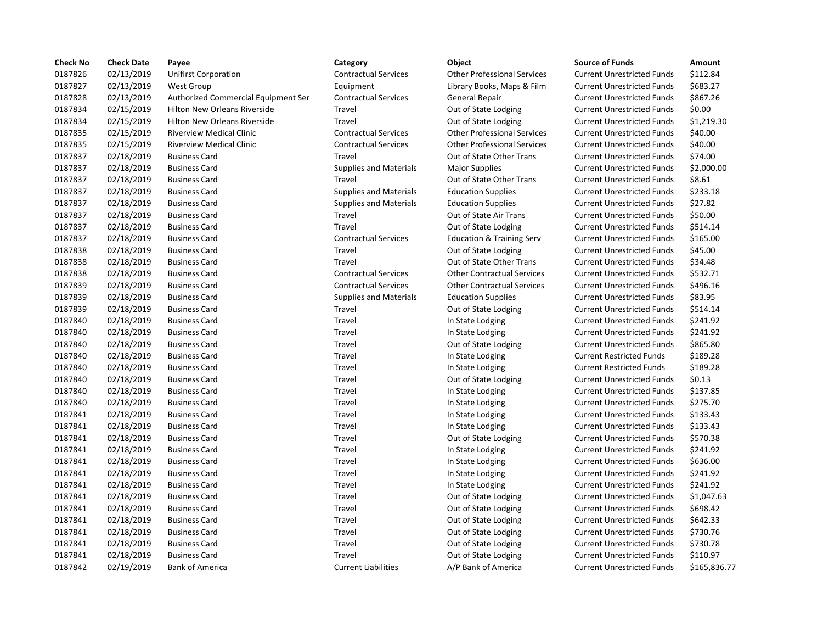| <b>Check No</b> | <b>Check Date</b> | Payee                               | Category                      | Object                               | <b>Source of Funds</b>            | Amount    |
|-----------------|-------------------|-------------------------------------|-------------------------------|--------------------------------------|-----------------------------------|-----------|
| 0187826         | 02/13/2019        | <b>Unifirst Corporation</b>         | <b>Contractual Services</b>   | <b>Other Professional Services</b>   | <b>Current Unrestricted Funds</b> | \$112.84  |
| 0187827         | 02/13/2019        | <b>West Group</b>                   | Equipment                     | Library Books, Maps & Film           | <b>Current Unrestricted Funds</b> | \$683.27  |
| 0187828         | 02/13/2019        | Authorized Commercial Equipment Ser | <b>Contractual Services</b>   | General Repair                       | <b>Current Unrestricted Funds</b> | \$867.26  |
| 0187834         | 02/15/2019        | <b>Hilton New Orleans Riverside</b> | Travel                        | Out of State Lodging                 | <b>Current Unrestricted Funds</b> | \$0.00    |
| 0187834         | 02/15/2019        | <b>Hilton New Orleans Riverside</b> | Travel                        | Out of State Lodging                 | <b>Current Unrestricted Funds</b> | \$1,219.3 |
| 0187835         | 02/15/2019        | <b>Riverview Medical Clinic</b>     | <b>Contractual Services</b>   | <b>Other Professional Services</b>   | <b>Current Unrestricted Funds</b> | \$40.00   |
| 0187835         | 02/15/2019        | <b>Riverview Medical Clinic</b>     | <b>Contractual Services</b>   | <b>Other Professional Services</b>   | <b>Current Unrestricted Funds</b> | \$40.00   |
| 0187837         | 02/18/2019        | <b>Business Card</b>                | Travel                        | Out of State Other Trans             | <b>Current Unrestricted Funds</b> | \$74.00   |
| 0187837         | 02/18/2019        | <b>Business Card</b>                | <b>Supplies and Materials</b> | <b>Major Supplies</b>                | <b>Current Unrestricted Funds</b> | \$2,000.0 |
| 0187837         | 02/18/2019        | <b>Business Card</b>                | Travel                        | Out of State Other Trans             | <b>Current Unrestricted Funds</b> | \$8.61    |
| 0187837         | 02/18/2019        | <b>Business Card</b>                | <b>Supplies and Materials</b> | <b>Education Supplies</b>            | <b>Current Unrestricted Funds</b> | \$233.18  |
| 0187837         | 02/18/2019        | <b>Business Card</b>                | <b>Supplies and Materials</b> | <b>Education Supplies</b>            | <b>Current Unrestricted Funds</b> | \$27.82   |
| 0187837         | 02/18/2019        | <b>Business Card</b>                | Travel                        | Out of State Air Trans               | <b>Current Unrestricted Funds</b> | \$50.00   |
| 0187837         | 02/18/2019        | <b>Business Card</b>                | Travel                        | Out of State Lodging                 | <b>Current Unrestricted Funds</b> | \$514.14  |
| 0187837         | 02/18/2019        | <b>Business Card</b>                | <b>Contractual Services</b>   | <b>Education &amp; Training Serv</b> | <b>Current Unrestricted Funds</b> | \$165.00  |
| 0187838         | 02/18/2019        | <b>Business Card</b>                | Travel                        | Out of State Lodging                 | <b>Current Unrestricted Funds</b> | \$45.00   |
| 0187838         | 02/18/2019        | <b>Business Card</b>                | Travel                        | Out of State Other Trans             | <b>Current Unrestricted Funds</b> | \$34.48   |
| 0187838         | 02/18/2019        | <b>Business Card</b>                | <b>Contractual Services</b>   | <b>Other Contractual Services</b>    | <b>Current Unrestricted Funds</b> | \$532.71  |
| 0187839         | 02/18/2019        | <b>Business Card</b>                | <b>Contractual Services</b>   | <b>Other Contractual Services</b>    | <b>Current Unrestricted Funds</b> | \$496.16  |
| 0187839         | 02/18/2019        | <b>Business Card</b>                | <b>Supplies and Materials</b> | <b>Education Supplies</b>            | <b>Current Unrestricted Funds</b> | \$83.95   |
| 0187839         | 02/18/2019        | <b>Business Card</b>                | Travel                        | Out of State Lodging                 | <b>Current Unrestricted Funds</b> | \$514.14  |
| 0187840         | 02/18/2019        | <b>Business Card</b>                | Travel                        | In State Lodging                     | <b>Current Unrestricted Funds</b> | \$241.92  |
| 0187840         | 02/18/2019        | <b>Business Card</b>                | Travel                        | In State Lodging                     | <b>Current Unrestricted Funds</b> | \$241.92  |
| 0187840         | 02/18/2019        | <b>Business Card</b>                | Travel                        | Out of State Lodging                 | <b>Current Unrestricted Funds</b> | \$865.80  |
| 0187840         | 02/18/2019        | <b>Business Card</b>                | Travel                        | In State Lodging                     | <b>Current Restricted Funds</b>   | \$189.28  |
| 0187840         | 02/18/2019        | <b>Business Card</b>                | Travel                        | In State Lodging                     | <b>Current Restricted Funds</b>   | \$189.28  |
| 0187840         | 02/18/2019        | <b>Business Card</b>                | Travel                        | Out of State Lodging                 | <b>Current Unrestricted Funds</b> | \$0.13    |
| 0187840         | 02/18/2019        | <b>Business Card</b>                | Travel                        | In State Lodging                     | <b>Current Unrestricted Funds</b> | \$137.85  |
| 0187840         | 02/18/2019        | <b>Business Card</b>                | Travel                        | In State Lodging                     | <b>Current Unrestricted Funds</b> | \$275.70  |
| 0187841         | 02/18/2019        | <b>Business Card</b>                | Travel                        | In State Lodging                     | <b>Current Unrestricted Funds</b> | \$133.43  |
| 0187841         | 02/18/2019        | <b>Business Card</b>                | Travel                        | In State Lodging                     | <b>Current Unrestricted Funds</b> | \$133.43  |
| 0187841         | 02/18/2019        | <b>Business Card</b>                | Travel                        | Out of State Lodging                 | <b>Current Unrestricted Funds</b> | \$570.38  |
| 0187841         | 02/18/2019        | <b>Business Card</b>                | Travel                        | In State Lodging                     | <b>Current Unrestricted Funds</b> | \$241.92  |
| 0187841         | 02/18/2019        | <b>Business Card</b>                | Travel                        | In State Lodging                     | <b>Current Unrestricted Funds</b> | \$636.00  |
| 0187841         | 02/18/2019        | <b>Business Card</b>                | Travel                        | In State Lodging                     | <b>Current Unrestricted Funds</b> | \$241.92  |
| 0187841         | 02/18/2019        | <b>Business Card</b>                | Travel                        | In State Lodging                     | <b>Current Unrestricted Funds</b> | \$241.92  |
| 0187841         | 02/18/2019        | <b>Business Card</b>                | Travel                        | Out of State Lodging                 | <b>Current Unrestricted Funds</b> | \$1,047.6 |
| 0187841         | 02/18/2019        | <b>Business Card</b>                | Travel                        | Out of State Lodging                 | <b>Current Unrestricted Funds</b> | \$698.42  |
| 0187841         | 02/18/2019        | <b>Business Card</b>                | Travel                        | Out of State Lodging                 | <b>Current Unrestricted Funds</b> | \$642.33  |
| 0187841         | 02/18/2019        | <b>Business Card</b>                | Travel                        | Out of State Lodging                 | <b>Current Unrestricted Funds</b> | \$730.76  |
| 0187841         | 02/18/2019        | <b>Business Card</b>                | Travel                        | Out of State Lodging                 | <b>Current Unrestricted Funds</b> | \$730.78  |
| 0187841         | 02/18/2019        | <b>Business Card</b>                | Travel                        | Out of State Lodging                 | <b>Current Unrestricted Funds</b> | \$110.97  |
| 0187842         | 02/19/2019        | Bank of America                     | <b>Current Liabilities</b>    | A/P Bank of America                  | <b>Current Unrestricted Funds</b> | \$165,83  |

0187842 02/19/2019 Bank of America Current Liabilities A/P Bank of America Current Unrestricted Funds \$165,836.77

# 0187826 02/13/2019 Unifirst Corporation Contractual Services Other Professional Services Current Unrestricted Funds \$112.84 Equipment Library Books, Maps & Film Current Unrestricted Funds \$683.27 ipment Ser Contractual Services General Repair Current Unrestricted Funds \$867.26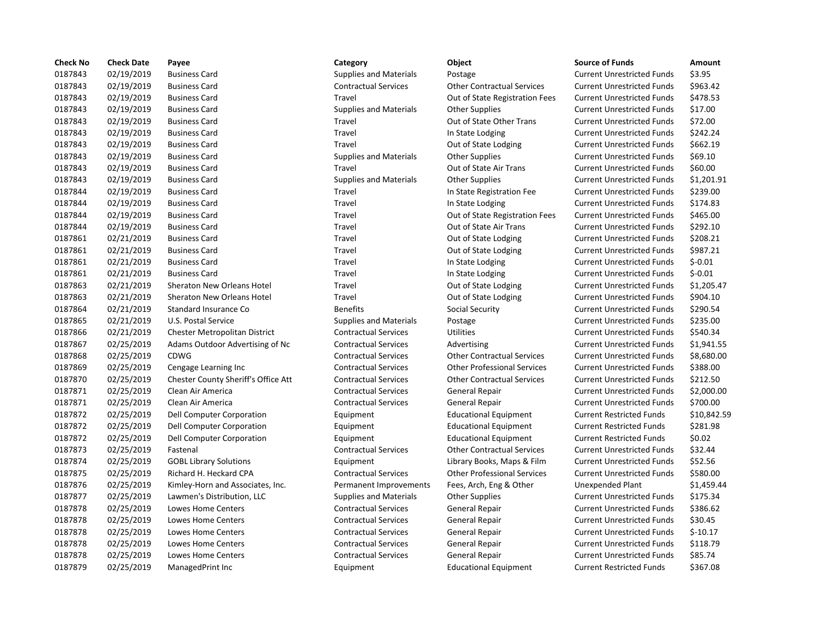| <b>Check No</b> | <b>Check Date</b> | Payee                               | Category                      | Object                             | <b>Source of Funds</b>            | Amount    |
|-----------------|-------------------|-------------------------------------|-------------------------------|------------------------------------|-----------------------------------|-----------|
| 0187843         | 02/19/2019        | <b>Business Card</b>                | <b>Supplies and Materials</b> | Postage                            | <b>Current Unrestricted Funds</b> | \$3.95    |
| 0187843         | 02/19/2019        | <b>Business Card</b>                | <b>Contractual Services</b>   | <b>Other Contractual Services</b>  | <b>Current Unrestricted Funds</b> | \$963.42  |
| 0187843         | 02/19/2019        | <b>Business Card</b>                | Travel                        | Out of State Registration Fees     | <b>Current Unrestricted Funds</b> | \$478.53  |
| 0187843         | 02/19/2019        | <b>Business Card</b>                | <b>Supplies and Materials</b> | <b>Other Supplies</b>              | <b>Current Unrestricted Funds</b> | \$17.00   |
| 0187843         | 02/19/2019        | <b>Business Card</b>                | Travel                        | Out of State Other Trans           | <b>Current Unrestricted Funds</b> | \$72.00   |
| 0187843         | 02/19/2019        | <b>Business Card</b>                | Travel                        | In State Lodging                   | <b>Current Unrestricted Funds</b> | \$242.24  |
| 0187843         | 02/19/2019        | <b>Business Card</b>                | Travel                        | Out of State Lodging               | <b>Current Unrestricted Funds</b> | \$662.19  |
| 0187843         | 02/19/2019        | <b>Business Card</b>                | <b>Supplies and Materials</b> | <b>Other Supplies</b>              | <b>Current Unrestricted Funds</b> | \$69.10   |
| 0187843         | 02/19/2019        | <b>Business Card</b>                | Travel                        | Out of State Air Trans             | <b>Current Unrestricted Funds</b> | \$60.00   |
| 0187843         | 02/19/2019        | <b>Business Card</b>                | <b>Supplies and Materials</b> | <b>Other Supplies</b>              | <b>Current Unrestricted Funds</b> | \$1,201.9 |
| 0187844         | 02/19/2019        | <b>Business Card</b>                | Travel                        | In State Registration Fee          | <b>Current Unrestricted Funds</b> | \$239.00  |
| 0187844         | 02/19/2019        | <b>Business Card</b>                | Travel                        | In State Lodging                   | <b>Current Unrestricted Funds</b> | \$174.83  |
| 0187844         | 02/19/2019        | <b>Business Card</b>                | Travel                        | Out of State Registration Fees     | <b>Current Unrestricted Funds</b> | \$465.00  |
| 0187844         | 02/19/2019        | <b>Business Card</b>                | Travel                        | Out of State Air Trans             | <b>Current Unrestricted Funds</b> | \$292.10  |
| 0187861         | 02/21/2019        | <b>Business Card</b>                | Travel                        | Out of State Lodging               | <b>Current Unrestricted Funds</b> | \$208.21  |
| 0187861         | 02/21/2019        | <b>Business Card</b>                | Travel                        | Out of State Lodging               | <b>Current Unrestricted Funds</b> | \$987.21  |
| 0187861         | 02/21/2019        | <b>Business Card</b>                | Travel                        | In State Lodging                   | <b>Current Unrestricted Funds</b> | $$-0.01$  |
| 0187861         | 02/21/2019        | <b>Business Card</b>                | Travel                        | In State Lodging                   | <b>Current Unrestricted Funds</b> | $$-0.01$  |
| 0187863         | 02/21/2019        | Sheraton New Orleans Hotel          | Travel                        | Out of State Lodging               | <b>Current Unrestricted Funds</b> | \$1,205.4 |
| 0187863         | 02/21/2019        | <b>Sheraton New Orleans Hotel</b>   | <b>Travel</b>                 | Out of State Lodging               | <b>Current Unrestricted Funds</b> | \$904.10  |
| 0187864         | 02/21/2019        | Standard Insurance Co               | <b>Benefits</b>               | Social Security                    | <b>Current Unrestricted Funds</b> | \$290.54  |
| 0187865         | 02/21/2019        | U.S. Postal Service                 | <b>Supplies and Materials</b> | Postage                            | <b>Current Unrestricted Funds</b> | \$235.00  |
| 0187866         | 02/21/2019        | Chester Metropolitan District       | <b>Contractual Services</b>   | <b>Utilities</b>                   | <b>Current Unrestricted Funds</b> | \$540.34  |
| 0187867         | 02/25/2019        | Adams Outdoor Advertising of Nc     | <b>Contractual Services</b>   | Advertising                        | <b>Current Unrestricted Funds</b> | \$1,941.9 |
| 0187868         | 02/25/2019        | <b>CDWG</b>                         | <b>Contractual Services</b>   | <b>Other Contractual Services</b>  | <b>Current Unrestricted Funds</b> | \$8,680.0 |
| 0187869         | 02/25/2019        | Cengage Learning Inc                | <b>Contractual Services</b>   | <b>Other Professional Services</b> | <b>Current Unrestricted Funds</b> | \$388.00  |
| 0187870         | 02/25/2019        | Chester County Sheriff's Office Att | <b>Contractual Services</b>   | <b>Other Contractual Services</b>  | <b>Current Unrestricted Funds</b> | \$212.50  |
| 0187871         | 02/25/2019        | Clean Air America                   | <b>Contractual Services</b>   | <b>General Repair</b>              | <b>Current Unrestricted Funds</b> | \$2,000.0 |
| 0187871         | 02/25/2019        | Clean Air America                   | <b>Contractual Services</b>   | <b>General Repair</b>              | <b>Current Unrestricted Funds</b> | \$700.00  |
| 0187872         | 02/25/2019        | Dell Computer Corporation           | Equipment                     | <b>Educational Equipment</b>       | <b>Current Restricted Funds</b>   | \$10,842  |
| 0187872         | 02/25/2019        | Dell Computer Corporation           | Equipment                     | <b>Educational Equipment</b>       | <b>Current Restricted Funds</b>   | \$281.98  |
| 0187872         | 02/25/2019        | Dell Computer Corporation           | Equipment                     | <b>Educational Equipment</b>       | <b>Current Restricted Funds</b>   | \$0.02    |
| 0187873         | 02/25/2019        | Fastenal                            | <b>Contractual Services</b>   | <b>Other Contractual Services</b>  | <b>Current Unrestricted Funds</b> | \$32.44   |
| 0187874         | 02/25/2019        | <b>GOBL Library Solutions</b>       | Equipment                     | Library Books, Maps & Film         | <b>Current Unrestricted Funds</b> | \$52.56   |
| 0187875         | 02/25/2019        | Richard H. Heckard CPA              | <b>Contractual Services</b>   | <b>Other Professional Services</b> | <b>Current Unrestricted Funds</b> | \$580.00  |
| 0187876         | 02/25/2019        | Kimley-Horn and Associates, Inc.    | Permanent Improvements        | Fees, Arch, Eng & Other            | <b>Unexpended Plant</b>           | \$1,459.4 |
| 0187877         | 02/25/2019        | Lawmen's Distribution, LLC          | <b>Supplies and Materials</b> | <b>Other Supplies</b>              | <b>Current Unrestricted Funds</b> | \$175.34  |
| 0187878         | 02/25/2019        | Lowes Home Centers                  | <b>Contractual Services</b>   | General Repair                     | <b>Current Unrestricted Funds</b> | \$386.62  |
| 0187878         | 02/25/2019        | Lowes Home Centers                  | <b>Contractual Services</b>   | General Repair                     | <b>Current Unrestricted Funds</b> | \$30.45   |
| 0187878         | 02/25/2019        | Lowes Home Centers                  | <b>Contractual Services</b>   | <b>General Repair</b>              | <b>Current Unrestricted Funds</b> | $$-10.17$ |
| 0187878         | 02/25/2019        | Lowes Home Centers                  | <b>Contractual Services</b>   | <b>General Repair</b>              | <b>Current Unrestricted Funds</b> | \$118.79  |
| 0187878         | 02/25/2019        | <b>Lowes Home Centers</b>           | <b>Contractual Services</b>   | <b>General Repair</b>              | <b>Current Unrestricted Funds</b> | \$85.74   |
| 0187879         | 02/25/2019        | ManagedPrint Inc                    | Equipment                     | <b>Educational Equipment</b>       | <b>Current Restricted Funds</b>   | \$367.08  |

# 0187843 02/19/2019 Business Card Supplies and Materials Postage Current Unrestricted Funds \$3.95 0187843 02/19/2019 Business Card Contractual Services Other Contractual Services Current Unrestricted Funds \$963.42 0187843 02/19/2019 Business Card Travel Out of State Registration Fees Current Unrestricted Funds \$478.53 Supplies and Materials Other Supplies Current Unrestricted Funds \$17.00 0187843 02/19/2019 Business Card Travel Out of State Other Trans Current Unrestricted Funds \$72.00 0187843 02/19/2019 Business Card Travel In State Lodging Current Unrestricted Funds \$242.24 Travel **1878** Out of State Lodging Current Unrestricted Funds \$662.19 Supplies and Materials and Materials Current Unrestricted Funds 569.10 0187843 02/19/2019 Business Card Travel Out of State Air Trans Current Unrestricted Funds \$60.00 Supplies and Materials **61.201.91** Other Supplies **Current Unrestricted Funds** 51,201.91 0187844 02/19/2019 Business Card Travel In State Registration Fee Current Unrestricted Funds \$239.00 Travel **12028 In State Lodging Current Unrestricted Funds** \$174.83 Travel **2018 Business Card Travel Business Current Unrestricted Funds** 5465.00 Travel **1878 Out of State Air Trans** Current Unrestricted Funds \$292.10 Travel **2018** Out of State Lodging Current Unrestricted Funds \$208.21 Travel **2018** Out of State Lodging Current Unrestricted Funds \$987.21 Travel **In State Lodging Current Unrestricted Funds** \$-0.01 Travel **In State Lodging Current Unrestricted Funds** \$-0.01 der 1788681 1205.47 Current Unrestricted Funds 11,205.47 d 1 3904.10 Travel Sheraton Current Unrestricted Funds 1904.10 **Denefits** 6290.54 **Denetity** Social Security Current Unrestricted Funds \$290.54 Supplies and Materials Postage Current Unrestricted Funds \$235.00 0187866 02/21/2019 Chester Metropolitan District Contractual Services Utilities Current Unrestricted Funds \$540.34 of Nc Contractual Services Advertising Current Unrestricted Funds \$1,941.55 0187868 02/25/2019 CDWG Contractual Services Other Contractual Services Current Unrestricted Funds \$8,680.00 0187869 02/25/2019 Cengage Learning Inc Contractual Services Other Professional Services Current Unrestricted Funds \$388.00 ice Att Contractual Services Contractual Services Current Unrestricted Funds in S212.50 0187871 02/25/2019 Clean Air America Contractual Services General Repair Current Unrestricted Funds \$2,000.00 0187871 02/25/2019 Clean Air America Contractual Services General Repair Current Unrestricted Funds \$700.00 Equipment Educational Equipment Current Restricted Funds \$10,842.59 0187872 02/25/2019 Dell Computer Corporation Equipment Educational Equipment Current Restricted Funds \$281.98 Equipment **Educational Equipment** Current Restricted Funds \$0.02 0187873 02/25/2019 Fastenal Contractual Services Other Contractual Services Current Unrestricted Funds \$32.44 0187874 02/25/2019 GOBL Library Solutions Equipment Library Books, Maps & Film Current Unrestricted Funds \$52.56 Contractual Services **Other Professional Services** Current Unrestricted Funds \$580.00 0187876 02/25/2019 Kimley-Horn and Associates, Inc. Permanent Improvements Fees, Arch, Eng & Other Unexpended Plant \$1,459.44 Supplies and Materials Cher Supplies Current Unrestricted Funds \$175.34 Contractual Services **6** General Repair **Current Unrestricted Funds** \$386.62 0187878 02/25/2019 Lowes Home Centers Contractual Services General Repair Current Unrestricted Funds \$30.45 0187878 02/25/2019 Lowes Home Centers Contractual Services General Repair Current Unrestricted Funds \$-10.17 0187878 02/25/2019 Lowes Home Centers Contractual Services General Repair Current Unrestricted Funds \$118.79 Contractual Services **628-8 General Repair** Current Unrestricted Funds \$85.74 Equipment Educational Equipment Current Restricted Funds \$367.08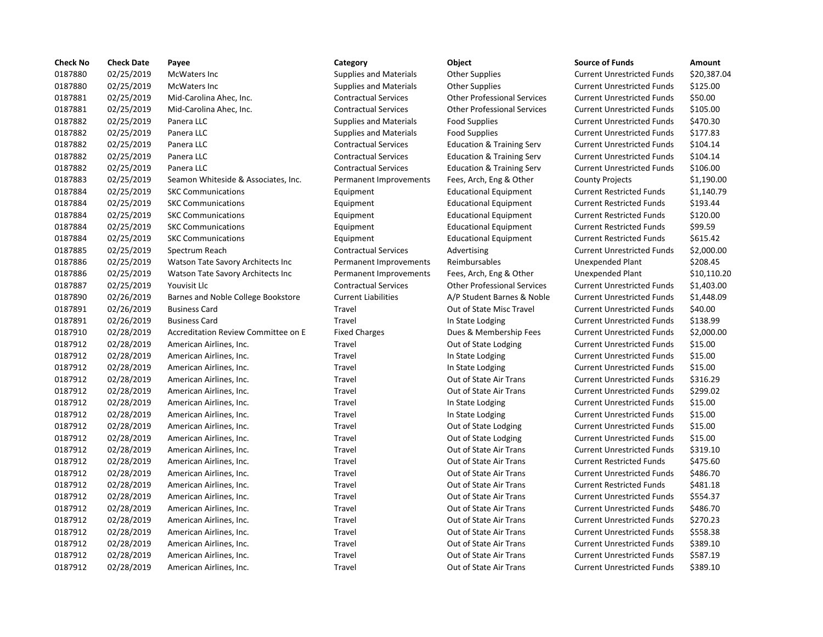| 0187880<br>0187880 | 02/25/2019 | McWaters Inc                        | <b>Supplies and Materials</b> | <b>Other Supplies</b>                | <b>Current Unrestricted Funds</b> |           |
|--------------------|------------|-------------------------------------|-------------------------------|--------------------------------------|-----------------------------------|-----------|
|                    |            |                                     |                               |                                      |                                   | \$20,387  |
|                    | 02/25/2019 | <b>McWaters Inc</b>                 | <b>Supplies and Materials</b> | <b>Other Supplies</b>                | <b>Current Unrestricted Funds</b> | \$125.00  |
| 0187881            | 02/25/2019 | Mid-Carolina Ahec, Inc.             | <b>Contractual Services</b>   | <b>Other Professional Services</b>   | <b>Current Unrestricted Funds</b> | \$50.00   |
| 0187881            | 02/25/2019 | Mid-Carolina Ahec, Inc.             | <b>Contractual Services</b>   | <b>Other Professional Services</b>   | <b>Current Unrestricted Funds</b> | \$105.00  |
| 0187882            | 02/25/2019 | Panera LLC                          | <b>Supplies and Materials</b> | <b>Food Supplies</b>                 | <b>Current Unrestricted Funds</b> | \$470.30  |
| 0187882            | 02/25/2019 | Panera LLC                          | <b>Supplies and Materials</b> | <b>Food Supplies</b>                 | <b>Current Unrestricted Funds</b> | \$177.83  |
| 0187882            | 02/25/2019 | Panera LLC                          | <b>Contractual Services</b>   | <b>Education &amp; Training Serv</b> | <b>Current Unrestricted Funds</b> | \$104.14  |
| 0187882            | 02/25/2019 | Panera LLC                          | <b>Contractual Services</b>   | <b>Education &amp; Training Serv</b> | <b>Current Unrestricted Funds</b> | \$104.14  |
| 0187882            | 02/25/2019 | Panera LLC                          | <b>Contractual Services</b>   | <b>Education &amp; Training Serv</b> | <b>Current Unrestricted Funds</b> | \$106.00  |
| 0187883            | 02/25/2019 | Seamon Whiteside & Associates, Inc. | Permanent Improvements        | Fees, Arch, Eng & Other              | <b>County Projects</b>            | \$1,190.0 |
| 0187884            | 02/25/2019 | <b>SKC Communications</b>           | Equipment                     | <b>Educational Equipment</b>         | <b>Current Restricted Funds</b>   | \$1,140.7 |
| 0187884            | 02/25/2019 | <b>SKC Communications</b>           | Equipment                     | <b>Educational Equipment</b>         | <b>Current Restricted Funds</b>   | \$193.44  |
| 0187884            | 02/25/2019 | <b>SKC Communications</b>           | Equipment                     | <b>Educational Equipment</b>         | <b>Current Restricted Funds</b>   | \$120.00  |
| 0187884            | 02/25/2019 | <b>SKC Communications</b>           | Equipment                     | <b>Educational Equipment</b>         | <b>Current Restricted Funds</b>   | \$99.59   |
| 0187884            | 02/25/2019 | <b>SKC Communications</b>           | Equipment                     | <b>Educational Equipment</b>         | <b>Current Restricted Funds</b>   | \$615.42  |
| 0187885            | 02/25/2019 | Spectrum Reach                      | <b>Contractual Services</b>   | Advertising                          | <b>Current Unrestricted Funds</b> | \$2,000.0 |
| 0187886            | 02/25/2019 | Watson Tate Savory Architects Inc   | Permanent Improvements        | Reimbursables                        | <b>Unexpended Plant</b>           | \$208.45  |
| 0187886            | 02/25/2019 | Watson Tate Savory Architects Inc   | Permanent Improvements        | Fees, Arch, Eng & Other              | <b>Unexpended Plant</b>           | \$10,110  |
| 0187887            | 02/25/2019 | Youvisit Llc                        | <b>Contractual Services</b>   | <b>Other Professional Services</b>   | <b>Current Unrestricted Funds</b> | \$1,403.0 |
| 0187890            | 02/26/2019 | Barnes and Noble College Bookstore  | <b>Current Liabilities</b>    | A/P Student Barnes & Noble           | <b>Current Unrestricted Funds</b> | \$1,448.0 |
| 0187891            | 02/26/2019 | <b>Business Card</b>                | Travel                        | Out of State Misc Travel             | <b>Current Unrestricted Funds</b> | \$40.00   |
| 0187891            | 02/26/2019 | <b>Business Card</b>                | Travel                        | In State Lodging                     | <b>Current Unrestricted Funds</b> | \$138.99  |
| 0187910            | 02/28/2019 | Accreditation Review Committee on E | <b>Fixed Charges</b>          | Dues & Membership Fees               | <b>Current Unrestricted Funds</b> | \$2,000.0 |
| 0187912            | 02/28/2019 | American Airlines, Inc.             | Travel                        | Out of State Lodging                 | <b>Current Unrestricted Funds</b> | \$15.00   |
| 0187912            | 02/28/2019 | American Airlines, Inc.             | Travel                        | In State Lodging                     | <b>Current Unrestricted Funds</b> | \$15.00   |
| 0187912            | 02/28/2019 | American Airlines, Inc.             | Travel                        | In State Lodging                     | <b>Current Unrestricted Funds</b> | \$15.00   |
| 0187912            | 02/28/2019 | American Airlines, Inc.             | Travel                        | Out of State Air Trans               | <b>Current Unrestricted Funds</b> | \$316.29  |
| 0187912            | 02/28/2019 | American Airlines, Inc.             | Travel                        | Out of State Air Trans               | <b>Current Unrestricted Funds</b> | \$299.02  |
| 0187912            | 02/28/2019 | American Airlines, Inc.             | Travel                        | In State Lodging                     | <b>Current Unrestricted Funds</b> | \$15.00   |
| 0187912            | 02/28/2019 | American Airlines, Inc.             | Travel                        | In State Lodging                     | <b>Current Unrestricted Funds</b> | \$15.00   |
| 0187912            | 02/28/2019 | American Airlines, Inc.             | Travel                        | Out of State Lodging                 | <b>Current Unrestricted Funds</b> | \$15.00   |
| 0187912            | 02/28/2019 | American Airlines, Inc.             | Travel                        | Out of State Lodging                 | <b>Current Unrestricted Funds</b> | \$15.00   |
| 0187912            | 02/28/2019 | American Airlines, Inc.             | Travel                        | Out of State Air Trans               | <b>Current Unrestricted Funds</b> | \$319.10  |
| 0187912            | 02/28/2019 | American Airlines, Inc.             | Travel                        | Out of State Air Trans               | <b>Current Restricted Funds</b>   | \$475.60  |
| 0187912            | 02/28/2019 | American Airlines, Inc.             | Travel                        | Out of State Air Trans               | <b>Current Unrestricted Funds</b> | \$486.70  |
| 0187912            | 02/28/2019 | American Airlines, Inc.             | Travel                        | Out of State Air Trans               | <b>Current Restricted Funds</b>   | \$481.18  |
| 0187912            | 02/28/2019 | American Airlines, Inc.             | Travel                        | Out of State Air Trans               | <b>Current Unrestricted Funds</b> | \$554.37  |
| 0187912            | 02/28/2019 | American Airlines, Inc.             | Travel                        | Out of State Air Trans               | <b>Current Unrestricted Funds</b> | \$486.70  |
| 0187912            | 02/28/2019 | American Airlines, Inc.             | Travel                        | Out of State Air Trans               | <b>Current Unrestricted Funds</b> | \$270.23  |
| 0187912            | 02/28/2019 | American Airlines, Inc.             | Travel                        | Out of State Air Trans               | <b>Current Unrestricted Funds</b> | \$558.38  |
| 0187912            | 02/28/2019 | American Airlines, Inc.             | Travel                        | Out of State Air Trans               | <b>Current Unrestricted Funds</b> | \$389.10  |
| 0187912            | 02/28/2019 | American Airlines, Inc.             | Travel                        | Out of State Air Trans               | <b>Current Unrestricted Funds</b> | \$587.19  |
| 0187912            | 02/28/2019 | American Airlines, Inc.             | Travel                        | Out of State Air Trans               | <b>Current Unrestricted Funds</b> | \$389.10  |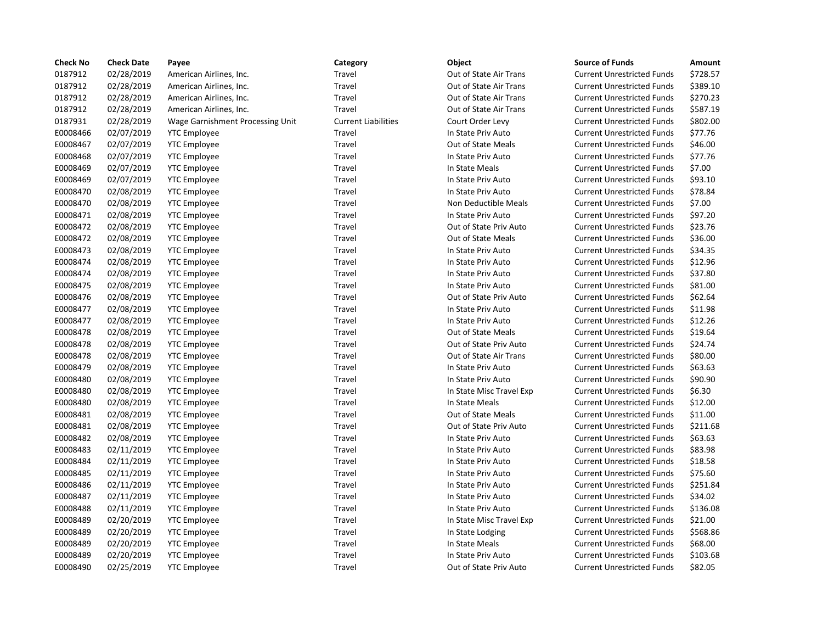| <b>Check No</b> | <b>Check Date</b> | Payee                            | Category                   | Object                    | <b>Source of Funds</b>            | Amount   |
|-----------------|-------------------|----------------------------------|----------------------------|---------------------------|-----------------------------------|----------|
| 0187912         | 02/28/2019        | American Airlines, Inc.          | Travel                     | Out of State Air Trans    | <b>Current Unrestricted Funds</b> | \$728.57 |
| 0187912         | 02/28/2019        | American Airlines, Inc.          | Travel                     | Out of State Air Trans    | <b>Current Unrestricted Funds</b> | \$389.10 |
| 0187912         | 02/28/2019        | American Airlines, Inc.          | Travel                     | Out of State Air Trans    | <b>Current Unrestricted Funds</b> | \$270.23 |
| 0187912         | 02/28/2019        | American Airlines, Inc.          | Travel                     | Out of State Air Trans    | <b>Current Unrestricted Funds</b> | \$587.19 |
| 0187931         | 02/28/2019        | Wage Garnishment Processing Unit | <b>Current Liabilities</b> | Court Order Levy          | <b>Current Unrestricted Funds</b> | \$802.00 |
| E0008466        | 02/07/2019        | <b>YTC Employee</b>              | Travel                     | In State Priv Auto        | <b>Current Unrestricted Funds</b> | \$77.76  |
| E0008467        | 02/07/2019        | <b>YTC Employee</b>              | Travel                     | Out of State Meals        | <b>Current Unrestricted Funds</b> | \$46.00  |
| E0008468        | 02/07/2019        | <b>YTC Employee</b>              | Travel                     | In State Priv Auto        | <b>Current Unrestricted Funds</b> | \$77.76  |
| E0008469        | 02/07/2019        | <b>YTC Employee</b>              | Travel                     | In State Meals            | <b>Current Unrestricted Funds</b> | \$7.00   |
| E0008469        | 02/07/2019        | <b>YTC Employee</b>              | Travel                     | In State Priv Auto        | <b>Current Unrestricted Funds</b> | \$93.10  |
| E0008470        | 02/08/2019        | <b>YTC Employee</b>              | Travel                     | In State Priv Auto        | <b>Current Unrestricted Funds</b> | \$78.84  |
| E0008470        | 02/08/2019        | <b>YTC Employee</b>              | Travel                     | Non Deductible Meals      | <b>Current Unrestricted Funds</b> | \$7.00   |
| E0008471        | 02/08/2019        | <b>YTC Employee</b>              | Travel                     | In State Priv Auto        | <b>Current Unrestricted Funds</b> | \$97.20  |
| E0008472        | 02/08/2019        | <b>YTC Employee</b>              | Travel                     | Out of State Priv Auto    | <b>Current Unrestricted Funds</b> | \$23.76  |
| E0008472        | 02/08/2019        | <b>YTC Employee</b>              | Travel                     | Out of State Meals        | <b>Current Unrestricted Funds</b> | \$36.00  |
| E0008473        | 02/08/2019        | <b>YTC Employee</b>              | Travel                     | In State Priv Auto        | <b>Current Unrestricted Funds</b> | \$34.35  |
| E0008474        | 02/08/2019        | <b>YTC Employee</b>              | Travel                     | In State Priv Auto        | <b>Current Unrestricted Funds</b> | \$12.96  |
| E0008474        | 02/08/2019        | <b>YTC Employee</b>              | Travel                     | In State Priv Auto        | <b>Current Unrestricted Funds</b> | \$37.80  |
| E0008475        | 02/08/2019        | <b>YTC Employee</b>              | Travel                     | In State Priv Auto        | <b>Current Unrestricted Funds</b> | \$81.00  |
| E0008476        | 02/08/2019        | <b>YTC Employee</b>              | Travel                     | Out of State Priv Auto    | <b>Current Unrestricted Funds</b> | \$62.64  |
| E0008477        | 02/08/2019        | <b>YTC Employee</b>              | Travel                     | In State Priv Auto        | <b>Current Unrestricted Funds</b> | \$11.98  |
| E0008477        | 02/08/2019        | <b>YTC Employee</b>              | Travel                     | In State Priv Auto        | <b>Current Unrestricted Funds</b> | \$12.26  |
| E0008478        | 02/08/2019        | <b>YTC Employee</b>              | Travel                     | Out of State Meals        | <b>Current Unrestricted Funds</b> | \$19.64  |
| E0008478        | 02/08/2019        | <b>YTC Employee</b>              | Travel                     | Out of State Priv Auto    | <b>Current Unrestricted Funds</b> | \$24.74  |
| E0008478        | 02/08/2019        | <b>YTC Employee</b>              | Travel                     | Out of State Air Trans    | <b>Current Unrestricted Funds</b> | \$80.00  |
| E0008479        | 02/08/2019        | <b>YTC Employee</b>              | Travel                     | In State Priv Auto        | <b>Current Unrestricted Funds</b> | \$63.63  |
| E0008480        | 02/08/2019        | <b>YTC Employee</b>              | Travel                     | In State Priv Auto        | <b>Current Unrestricted Funds</b> | \$90.90  |
| E0008480        | 02/08/2019        | <b>YTC Employee</b>              | Travel                     | In State Misc Travel Exp  | <b>Current Unrestricted Funds</b> | \$6.30   |
| E0008480        | 02/08/2019        | <b>YTC Employee</b>              | Travel                     | In State Meals            | <b>Current Unrestricted Funds</b> | \$12.00  |
| E0008481        | 02/08/2019        | <b>YTC Employee</b>              | Travel                     | <b>Out of State Meals</b> | <b>Current Unrestricted Funds</b> | \$11.00  |
| E0008481        | 02/08/2019        | <b>YTC Employee</b>              | Travel                     | Out of State Priv Auto    | <b>Current Unrestricted Funds</b> | \$211.68 |
| E0008482        | 02/08/2019        | <b>YTC Employee</b>              | Travel                     | In State Priv Auto        | <b>Current Unrestricted Funds</b> | \$63.63  |
| E0008483        | 02/11/2019        | <b>YTC Employee</b>              | Travel                     | In State Priv Auto        | <b>Current Unrestricted Funds</b> | \$83.98  |
| E0008484        | 02/11/2019        | <b>YTC Employee</b>              | Travel                     | In State Priv Auto        | <b>Current Unrestricted Funds</b> | \$18.58  |
| E0008485        | 02/11/2019        | <b>YTC Employee</b>              | Travel                     | In State Priv Auto        | <b>Current Unrestricted Funds</b> | \$75.60  |
| E0008486        | 02/11/2019        | <b>YTC Employee</b>              | Travel                     | In State Priv Auto        | <b>Current Unrestricted Funds</b> | \$251.84 |
| E0008487        | 02/11/2019        | <b>YTC Employee</b>              | Travel                     | In State Priv Auto        | <b>Current Unrestricted Funds</b> | \$34.02  |
| E0008488        | 02/11/2019        | <b>YTC Employee</b>              | Travel                     | In State Priv Auto        | <b>Current Unrestricted Funds</b> | \$136.08 |
| E0008489        | 02/20/2019        | <b>YTC Employee</b>              | Travel                     | In State Misc Travel Exp  | <b>Current Unrestricted Funds</b> | \$21.00  |
| E0008489        | 02/20/2019        | <b>YTC Employee</b>              | Travel                     | In State Lodging          | <b>Current Unrestricted Funds</b> | \$568.86 |
| E0008489        | 02/20/2019        | <b>YTC Employee</b>              | Travel                     | In State Meals            | <b>Current Unrestricted Funds</b> | \$68.00  |
| E0008489        | 02/20/2019        | <b>YTC Employee</b>              | Travel                     | In State Priv Auto        | <b>Current Unrestricted Funds</b> | \$103.68 |
| E0008490        | 02/25/2019        | <b>YTC Employee</b>              | Travel                     | Out of State Priv Auto    | Current Unrestricted Funds        | \$82.05  |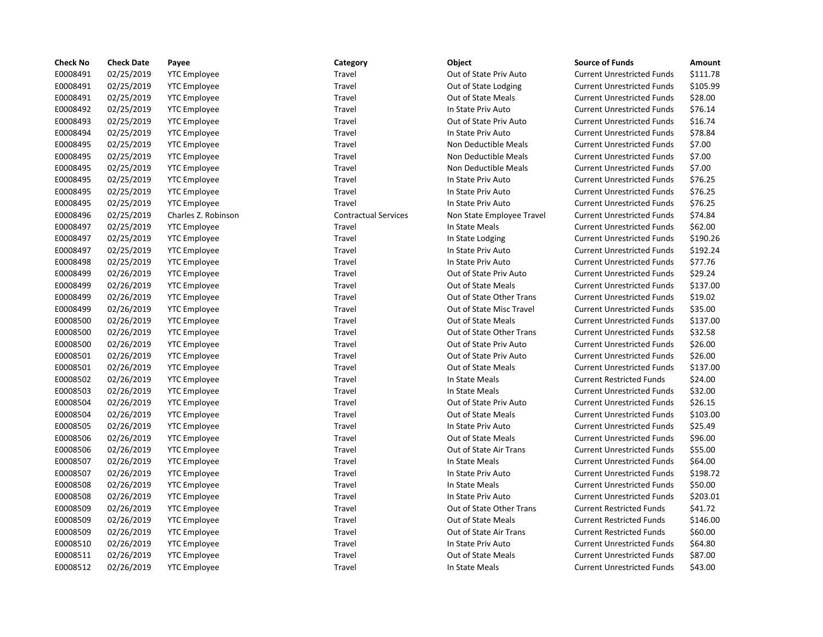| <b>Check No</b> | <b>Check Date</b> | Payee               | Category                    | Object                    | <b>Source of Funds</b>            | Amount   |
|-----------------|-------------------|---------------------|-----------------------------|---------------------------|-----------------------------------|----------|
| E0008491        | 02/25/2019        | <b>YTC Employee</b> | Travel                      | Out of State Priv Auto    | <b>Current Unrestricted Funds</b> | \$111.78 |
| E0008491        | 02/25/2019        | <b>YTC Employee</b> | Travel                      | Out of State Lodging      | <b>Current Unrestricted Funds</b> | \$105.99 |
| E0008491        | 02/25/2019        | <b>YTC Employee</b> | Travel                      | <b>Out of State Meals</b> | <b>Current Unrestricted Funds</b> | \$28.00  |
| E0008492        | 02/25/2019        | <b>YTC Employee</b> | Travel                      | In State Priv Auto        | <b>Current Unrestricted Funds</b> | \$76.14  |
| E0008493        | 02/25/2019        | <b>YTC Employee</b> | Travel                      | Out of State Priv Auto    | <b>Current Unrestricted Funds</b> | \$16.74  |
| E0008494        | 02/25/2019        | <b>YTC Employee</b> | Travel                      | In State Priv Auto        | <b>Current Unrestricted Funds</b> | \$78.84  |
| E0008495        | 02/25/2019        | <b>YTC Employee</b> | Travel                      | Non Deductible Meals      | <b>Current Unrestricted Funds</b> | \$7.00   |
| E0008495        | 02/25/2019        | <b>YTC Employee</b> | Travel                      | Non Deductible Meals      | <b>Current Unrestricted Funds</b> | \$7.00   |
| E0008495        | 02/25/2019        | <b>YTC Employee</b> | Travel                      | Non Deductible Meals      | <b>Current Unrestricted Funds</b> | \$7.00   |
| E0008495        | 02/25/2019        | <b>YTC Employee</b> | Travel                      | In State Priv Auto        | <b>Current Unrestricted Funds</b> | \$76.25  |
| E0008495        | 02/25/2019        | <b>YTC Employee</b> | Travel                      | In State Priv Auto        | <b>Current Unrestricted Funds</b> | \$76.25  |
| E0008495        | 02/25/2019        | <b>YTC Employee</b> | Travel                      | In State Priv Auto        | <b>Current Unrestricted Funds</b> | \$76.25  |
| E0008496        | 02/25/2019        | Charles Z. Robinson | <b>Contractual Services</b> | Non State Employee Travel | <b>Current Unrestricted Funds</b> | \$74.84  |
| E0008497        | 02/25/2019        | <b>YTC Employee</b> | Travel                      | In State Meals            | <b>Current Unrestricted Funds</b> | \$62.00  |
| E0008497        | 02/25/2019        | <b>YTC Employee</b> | Travel                      | In State Lodging          | <b>Current Unrestricted Funds</b> | \$190.26 |
| E0008497        | 02/25/2019        | <b>YTC Employee</b> | Travel                      | In State Priv Auto        | <b>Current Unrestricted Funds</b> | \$192.24 |
| E0008498        | 02/25/2019        | <b>YTC Employee</b> | Travel                      | In State Priv Auto        | <b>Current Unrestricted Funds</b> | \$77.76  |
| E0008499        | 02/26/2019        | <b>YTC Employee</b> | Travel                      | Out of State Priv Auto    | <b>Current Unrestricted Funds</b> | \$29.24  |
| E0008499        | 02/26/2019        | <b>YTC Employee</b> | Travel                      | <b>Out of State Meals</b> | <b>Current Unrestricted Funds</b> | \$137.00 |
| E0008499        | 02/26/2019        | <b>YTC Employee</b> | Travel                      | Out of State Other Trans  | <b>Current Unrestricted Funds</b> | \$19.02  |
| E0008499        | 02/26/2019        | <b>YTC Employee</b> | Travel                      | Out of State Misc Travel  | <b>Current Unrestricted Funds</b> | \$35.00  |
| E0008500        | 02/26/2019        | <b>YTC Employee</b> | Travel                      | <b>Out of State Meals</b> | <b>Current Unrestricted Funds</b> | \$137.00 |
| E0008500        | 02/26/2019        | <b>YTC Employee</b> | Travel                      | Out of State Other Trans  | <b>Current Unrestricted Funds</b> | \$32.58  |
| E0008500        | 02/26/2019        | <b>YTC Employee</b> | Travel                      | Out of State Priv Auto    | <b>Current Unrestricted Funds</b> | \$26.00  |
| E0008501        | 02/26/2019        | <b>YTC Employee</b> | Travel                      | Out of State Priv Auto    | <b>Current Unrestricted Funds</b> | \$26.00  |
| E0008501        | 02/26/2019        | <b>YTC Employee</b> | Travel                      | <b>Out of State Meals</b> | <b>Current Unrestricted Funds</b> | \$137.00 |
| E0008502        | 02/26/2019        | <b>YTC Employee</b> | Travel                      | In State Meals            | <b>Current Restricted Funds</b>   | \$24.00  |
| E0008503        | 02/26/2019        | <b>YTC Employee</b> | Travel                      | In State Meals            | <b>Current Unrestricted Funds</b> | \$32.00  |
| E0008504        | 02/26/2019        | <b>YTC Employee</b> | Travel                      | Out of State Priv Auto    | <b>Current Unrestricted Funds</b> | \$26.15  |
| E0008504        | 02/26/2019        | <b>YTC Employee</b> | Travel                      | <b>Out of State Meals</b> | <b>Current Unrestricted Funds</b> | \$103.00 |
| E0008505        | 02/26/2019        | <b>YTC Employee</b> | Travel                      | In State Priv Auto        | <b>Current Unrestricted Funds</b> | \$25.49  |
| E0008506        | 02/26/2019        | <b>YTC Employee</b> | Travel                      | <b>Out of State Meals</b> | <b>Current Unrestricted Funds</b> | \$96.00  |
| E0008506        | 02/26/2019        | <b>YTC Employee</b> | Travel                      | Out of State Air Trans    | <b>Current Unrestricted Funds</b> | \$55.00  |
| E0008507        | 02/26/2019        | <b>YTC Employee</b> | Travel                      | In State Meals            | <b>Current Unrestricted Funds</b> | \$64.00  |
| E0008507        | 02/26/2019        | <b>YTC Employee</b> | Travel                      | In State Priv Auto        | <b>Current Unrestricted Funds</b> | \$198.72 |
| E0008508        | 02/26/2019        | <b>YTC Employee</b> | Travel                      | In State Meals            | <b>Current Unrestricted Funds</b> | \$50.00  |
| E0008508        | 02/26/2019        | <b>YTC Employee</b> | Travel                      | In State Priv Auto        | <b>Current Unrestricted Funds</b> | \$203.01 |
| E0008509        | 02/26/2019        | <b>YTC Employee</b> | Travel                      | Out of State Other Trans  | <b>Current Restricted Funds</b>   | \$41.72  |
| E0008509        | 02/26/2019        | <b>YTC Employee</b> | Travel                      | Out of State Meals        | <b>Current Restricted Funds</b>   | \$146.00 |
| E0008509        | 02/26/2019        | <b>YTC Employee</b> | Travel                      | Out of State Air Trans    | <b>Current Restricted Funds</b>   | \$60.00  |
| E0008510        | 02/26/2019        | <b>YTC Employee</b> | Travel                      | In State Priv Auto        | <b>Current Unrestricted Funds</b> | \$64.80  |
| E0008511        | 02/26/2019        | <b>YTC Employee</b> | Travel                      | <b>Out of State Meals</b> | <b>Current Unrestricted Funds</b> | \$87.00  |
| E0008512        | 02/26/2019        | <b>YTC Employee</b> | Travel                      | In State Meals            | <b>Current Unrestricted Funds</b> | \$43.00  |

| Category      |  |
|---------------|--|
| Travel        |  |
| Travel        |  |
| Travel        |  |
| Travel        |  |
| Travel        |  |
| Travel        |  |
| Travel        |  |
| Travel        |  |
| Travel        |  |
| Travel        |  |
| Travel        |  |
| Travel        |  |
| Contractual S |  |
| Travel        |  |
| Travel        |  |
| Travel        |  |
| Travel        |  |
| Travel        |  |
| Travel        |  |
| Travel        |  |
| Travel        |  |
| Travel        |  |
| Travel        |  |
| Travel        |  |
| Travel        |  |
| Travel        |  |
| Travel        |  |
| Travel        |  |
| Travel        |  |
| Travel        |  |
| Travel        |  |
| Travel        |  |
| Travel        |  |
| Travel        |  |
| Travel        |  |
| Travel        |  |
| Travel        |  |
| Travel        |  |
| Travel        |  |
| Travel        |  |
| Travel        |  |
| Travel        |  |
| Travel        |  |

# Out of State Priv Auto **Current Unrestricted Funds** \$111.78 Out of State Lodging Current Unrestricted Funds \$105.99 Out of State Meals **Example 2018** Current Unrestricted Funds \$28.00 In State Priv Auto **Current Unrestricted Funds** \$76.14 Out of State Priv Auto **Current Unrestricted Funds** \$16.74 In State Priv Auto **Current Unrestricted Funds** \$78.84 Non Deductible Meals Current Unrestricted Funds \$7.00 Non Deductible Meals Current Unrestricted Funds \$7.00 Non Deductible Meals Current Unrestricted Funds \$7.00 In State Priv Auto **Current Unrestricted Funds** \$76.25 In State Priv Auto **Current Unrestricted Funds** \$76.25 In State Priv Auto **East Current Unrestricted Funds** \$76.25 n and E0008 Contractual Services Non State Employee Travel Current Unrestricted Funds \$74.84 In State Meals **EXACTE:** Current Unrestricted Funds \$62.00 In State Lodging Current Unrestricted Funds \$190.26 In State Priv Auto **Current Unrestricted Funds** \$192.24 In State Priv Auto **Current Unrestricted Funds** \$77.76 Out of State Priv Auto **Current Unrestricted Funds** \$29.24 Out of State Meals Current Unrestricted Funds \$137.00 Out of State Other Trans Current Unrestricted Funds \$19.02 Out of State Misc Travel **Current Unrestricted Funds** \$35.00 Out of State Meals **Current Unrestricted Funds** \$137.00 Out of State Other Trans Current Unrestricted Funds \$32.58 Out of State Priv Auto **Current Unrestricted Funds** \$26.00 Out of State Priv Auto **Current Unrestricted Funds** \$26.00 E0008501 02/26/2019 YTC Employee Travel Out of State Meals Current Unrestricted Funds \$137.00 E0008502 02/26/2019 YTC Employee Travel In State Meals Current Restricted Funds \$24.00 In State Meals Current Unrestricted Funds \$32.00 E0008504 02/26/2019 YTC Employee Travel Out of State Priv Auto Current Unrestricted Funds \$26.15 Out of State Meals **Current Unrestricted Funds** \$103.00 E0008505 02/26/2019 YTC Employee Travel In State Priv Auto Current Unrestricted Funds \$25.49 Out of State Meals **Current Unrestricted Funds** \$96.00 Out of State Air Trans Current Unrestricted Funds \$55.00 In State Meals **End all 2019** Current Unrestricted Funds \$64.00 In State Priv Auto **Current Unrestricted Funds** \$198.72 In State Meals **Current Unrestricted Funds** \$50.00 In State Priv Auto **Current Unrestricted Funds** \$203.01 Out of State Other Trans Current Restricted Funds \$41.72 Out of State Meals Current Restricted Funds \$146.00 Out of State Air Trans Current Restricted Funds \$60.00 In State Priv Auto **Current Unrestricted Funds** \$64.80 Out of State Meals **EXACCURTE:** Current Unrestricted Funds \$87.00 In State Meals **EXACCURTE:** Current Unrestricted Funds \$43.00